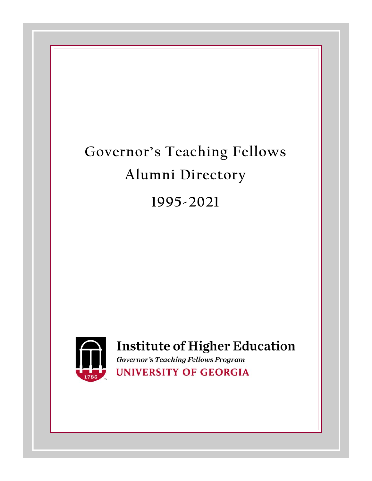# **Governor's Teaching Fellows Alumni Directory 1995-2021**



# **Institute of Higher Education**

**Governor's Teaching Fellows Program UNIVERSITY OF GEORGIA**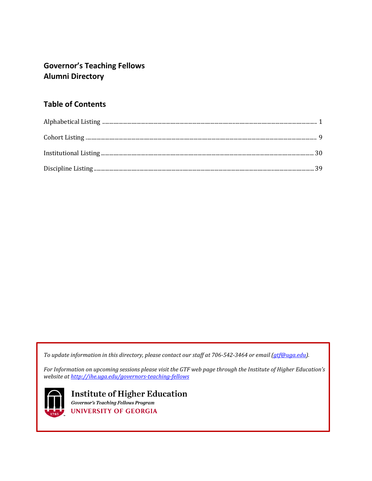# **Governor's Teaching Fellows Alumni Directory**

# **Table of Contents**

*To update information in this directory, please contact our staff at 706-542-3464 or email [\(gtf@uga.edu\)](mailto:gtf@uga.edu).*

*For Information on upcoming sessions please visit the GTF web page through the Institute of Higher Education's website a[t http://ihe.uga.edu/governors-teaching-fellows](http://ihe.uga.edu/governors-teaching-fellows)*



**Institute of Higher Education Governor's Teaching Fellows Program UNIVERSITY OF GEORGIA**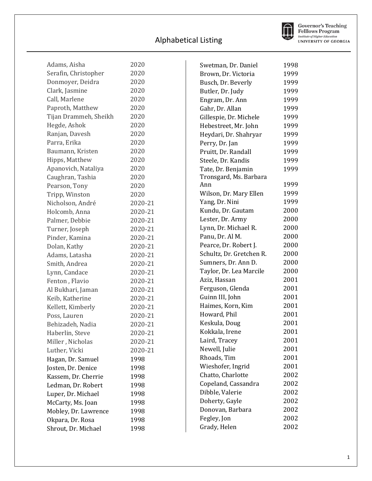

**Governor's Teaching<br>Felllows Program<br>Institute of Higher Education**<br>UNIVERSITY OF GEORGIA

| 2020                                          |  |
|-----------------------------------------------|--|
| Adams, Aisha<br>Serafin, Christopher<br>2020  |  |
| Donmoyer, Deidra<br>2020                      |  |
| Clark, Jasmine<br>2020                        |  |
| Call, Marlene<br>2020                         |  |
| Paproth, Matthew<br>2020                      |  |
| 2020                                          |  |
| Tijan Drammeh, Sheikh<br>Hegde, Ashok<br>2020 |  |
| Ranjan, Davesh<br>2020                        |  |
|                                               |  |
| Parra, Erika<br>2020                          |  |
| 2020<br>Baumann, Kristen                      |  |
| Hipps, Matthew<br>2020                        |  |
| Apanovich, Nataliya<br>2020                   |  |
| Caughran, Tashia<br>2020                      |  |
| Pearson, Tony<br>2020                         |  |
| Tripp, Winston<br>2020                        |  |
| Nicholson, André<br>2020-21                   |  |
| 2020-21<br>Holcomb, Anna                      |  |
| 2020-21<br>Palmer, Debbie                     |  |
| Turner, Joseph<br>2020-21                     |  |
| Pinder, Kamina<br>2020-21                     |  |
| Dolan, Kathy<br>2020-21                       |  |
| 2020-21<br>Adams, Latasha                     |  |
| 2020-21<br>Smith, Andrea                      |  |
| Lynn, Candace<br>2020-21                      |  |
| Fenton, Flavio<br>2020-21                     |  |
| 2020-21<br>Al Bukhari, Jaman                  |  |
| Keib, Katherine<br>2020-21                    |  |
| Kellett, Kimberly<br>2020-21                  |  |
| Poss, Lauren<br>2020-21                       |  |
| 2020-21<br>Behizadeh, Nadia                   |  |
| Haberlin, Steve<br>2020-21                    |  |
| Miller, Nicholas<br>2020-21                   |  |
| Luther, Vicki<br>2020-21                      |  |
| Hagan, Dr. Samuel<br>1998                     |  |
| Josten, Dr. Denice<br>1998                    |  |
| Kassem, Dr. Cherrie<br>1998                   |  |
| Ledman, Dr. Robert<br>1998                    |  |
| Luper, Dr. Michael<br>1998                    |  |
| McCarty, Ms. Joan<br>1998                     |  |
| Mobley, Dr. Lawrence<br>1998                  |  |
| Okpara, Dr. Rosa<br>1998                      |  |
| Shrout, Dr. Michael<br>1998                   |  |

| Swetman, Dr. Daniel      | 1998 |
|--------------------------|------|
| Brown, Dr. Victoria      | 1999 |
| Busch, Dr. Beverly       | 1999 |
| Butler, Dr. Judy         | 1999 |
| Engram, Dr. Ann          | 1999 |
| Gahr, Dr. Allan          | 1999 |
| Gillespie, Dr. Michele   | 1999 |
| Hebestreet, Mr. John     | 1999 |
| Heydari, Dr. Shahryar    | 1999 |
| Perry, Dr. Jan           | 1999 |
| Pruitt, Dr. Randall      | 1999 |
| Steele, Dr. Kandis       | 1999 |
| Tate, Dr. Benjamin       | 1999 |
| Tronsgard, Ms. Barbara   |      |
| Ann                      | 1999 |
| Wilson, Dr. Mary Ellen   | 1999 |
| Yang, Dr. Nini           | 1999 |
| Kundu, Dr. Gautam        | 2000 |
| Lester, Dr. Army         | 2000 |
| Lynn, Dr. Michael R.     | 2000 |
| Panu, Dr. Al M.          | 2000 |
| Pearce, Dr. Robert J.    | 2000 |
| Schultz, Dr. Gretchen R. | 2000 |
| Sumners, Dr. Ann D.      | 2000 |
| Taylor, Dr. Lea Marcile  | 2000 |
| Aziz, Hassan             | 2001 |
| Ferguson, Glenda         | 2001 |
| Guinn III, John          | 2001 |
| Haimes, Korn, Kim        | 2001 |
| Howard, Phil             | 2001 |
| Keskula, Doug            | 2001 |
| Kokkala, Irene           | 2001 |
| Laird, Tracey            | 2001 |
| Newell, Julie            | 2001 |
| Rhoads, Tim              | 2001 |
| Wieshofer, Ingrid        | 2001 |
| Chatto, Charlotte        | 2002 |
| Copeland, Cassandra      | 2002 |
| Dibble, Valerie          | 2002 |
| Doherty, Gayle           | 2002 |
| Donovan, Barbara         | 2002 |
| Fegley, Jon              | 2002 |
| Grady, Helen             | 2002 |
|                          |      |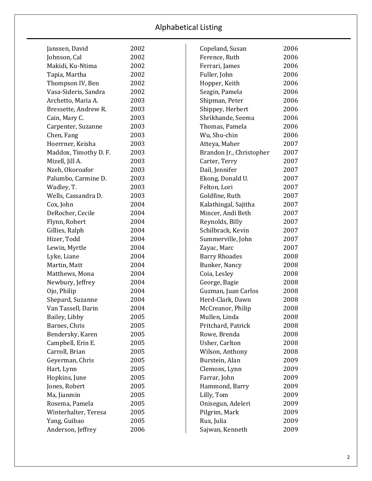| Janssen, David        | 2002 | Copeland, Susan          | 2006 |
|-----------------------|------|--------------------------|------|
| Johnson, Cal          | 2002 | Ference, Ruth            | 2006 |
| Makidi, Ku-Ntima      | 2002 | Ferrari, James           | 2006 |
| Tapia, Martha         | 2002 | Fuller, John             | 2006 |
| Thompson IV, Ben      | 2002 | Hopper, Keith            | 2006 |
| Vasa-Sideris, Sandra  | 2002 | Sezgin, Pamela           | 2006 |
| Archetto, Maria A.    | 2003 | Shipman, Peter           | 2006 |
| Bressette, Andrew R.  | 2003 | Shippey, Herbert         | 2006 |
| Cain, Mary C.         | 2003 | Shrikhande, Seema        | 2006 |
| Carpenter, Suzanne    | 2003 | Thomas, Pamela           | 2006 |
| Chen, Fang            | 2003 | Wu, Shu-chin             | 2006 |
| Hoerrner, Keisha      | 2003 | Atteya, Maher            | 2007 |
| Maddox, Timothy D. F. | 2003 | Brandon Jr., Christopher | 2007 |
| Mizell, Jill A.       | 2003 | Carter, Terry            | 2007 |
| Nzeh, Okoroafor       | 2003 | Dail, Jennifer           | 2007 |
| Palumbo, Carmine D.   | 2003 | Ekong, Donald U.         | 2007 |
| Wadley, T.            | 2003 | Felton, Lori             | 2007 |
| Wells, Cassandra D.   | 2003 | Goldfine, Ruth           | 2007 |
| Cox, John             | 2004 | Kalathingal, Sajitha     | 2007 |
| DeRocher, Cecile      | 2004 | Mincer, Andi Beth        | 2007 |
| Flynn, Robert         | 2004 | Reynolds, Billy          | 2007 |
| Gillies, Ralph        | 2004 | Schilbrack, Kevin        | 2007 |
| Hizer, Todd           | 2004 | Summerville, John        | 2007 |
| Lewin, Myrtle         | 2004 | Zayac, Marc              | 2007 |
| Lyke, Liane           | 2004 | <b>Barry Rhoades</b>     | 2008 |
| Martin, Matt          | 2004 | Bunker, Nancy            | 2008 |
| Matthews, Mona        | 2004 | Coia, Lesley             | 2008 |
| Newbury, Jeffrey      | 2004 | George, Bagie            | 2008 |
| Ojo, Philip           | 2004 | Guzman, Juan Carlos      | 2008 |
| Shepard, Suzanne      | 2004 | Herd-Clark, Dawn         | 2008 |
| Van Tassell, Darin    | 2004 | McCreanor, Philip        | 2008 |
| Bailey, Libby         | 2005 | Mullen, Linda            | 2008 |
| Barnes, Chris         | 2005 | Pritchard, Patrick       | 2008 |
| Bendersky, Karen      | 2005 | Rowe, Brenda             | 2008 |
| Campbell, Erin E.     | 2005 | Usher, Carlton           | 2008 |
| Carroll, Brian        | 2005 | Wilson, Anthony          | 2008 |
| Geyerman, Chris       | 2005 | Burstein, Alan           | 2009 |
| Hart, Lynn            | 2005 | Clemons, Lynn            | 2009 |
| Hopkins, June         | 2005 | Farrar, John             | 2009 |
| Jones, Robert         | 2005 | Hammond, Barry           | 2009 |
| Ma, Jianmin           | 2005 | Lilly, Tom               | 2009 |
| Rosema, Pamela        | 2005 | Onisegun, Adeleri        | 2009 |
| Winterhalter, Teresa  | 2005 | Pilgrim, Mark            | 2009 |
| Yang, Guibao          | 2005 | Rux, Julia               | 2009 |
| Anderson, Jeffrey     | 2006 | Sajwan, Kenneth          | 2009 |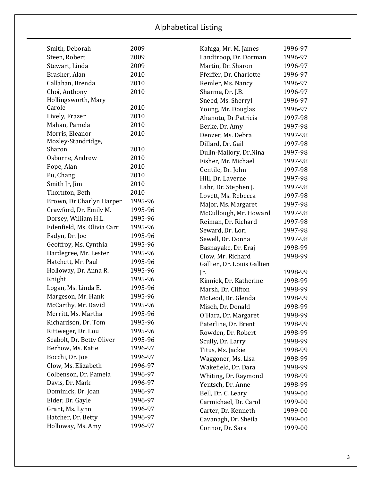| Smith, Deborah             | 2009    |
|----------------------------|---------|
| Steen, Robert              | 2009    |
| Stewart, Linda             | 2009    |
| Brasher, Alan              | 2010    |
| Callahan, Brenda           | 2010    |
| Choi, Anthony              | 2010    |
| Hollingsworth, Mary        |         |
| Carole                     | 2010    |
| Lively, Frazer             | 2010    |
| Mahan, Pamela              | 2010    |
| Morris, Eleanor            | 2010    |
| Mozley-Standridge,         |         |
| Sharon                     | 2010    |
| Osborne, Andrew            | 2010    |
| Pope, Alan                 | 2010    |
| Pu, Chang                  | 2010    |
| Smith Jr, Jim              | 2010    |
| Thornton, Beth             | 2010    |
| Brown, Dr Charlyn Harper   | 1995-96 |
| Crawford, Dr. Emily M.     | 1995-96 |
| Dorsey, William H.L.       | 1995-96 |
| Edenfield, Ms. Olivia Carr | 1995-96 |
| Fadyn, Dr. Joe             | 1995-96 |
| Geoffroy, Ms. Cynthia      | 1995-96 |
| Hardegree, Mr. Lester      | 1995-96 |
| Hatchett, Mr. Paul         | 1995-96 |
| Holloway, Dr. Anna R.      | 1995-96 |
| Knight                     | 1995-96 |
| Logan, Ms. Linda E.        | 1995-96 |
| Margeson, Mr. Hank         | 1995-96 |
| McCarthy, Mr. David        | 1995-96 |
| Merritt, Ms. Martha        | 1995-96 |
| Richardson, Dr. Tom        | 1995-96 |
| Rittweger, Dr. Lou         | 1995-96 |
| Seabolt, Dr. Betty Oliver  | 1995-96 |
| Berhow, Ms. Katie          | 1996-97 |
| Bocchi, Dr. Joe            | 1996-97 |
| Clow, Ms. Elizabeth        | 1996-97 |
| Colbenson, Dr. Pamela      | 1996-97 |
| Davis, Dr. Mark            | 1996-97 |
| Dominick, Dr. Joan         | 1996-97 |
| Elder, Dr. Gayle           | 1996-97 |
| Grant, Ms. Lynn            | 1996-97 |
| Hatcher, Dr. Betty         | 1996-97 |
| Holloway, Ms. Amy          | 1996-97 |

| Kahiga, Mr. M. James       | 1996-97 |
|----------------------------|---------|
| Landtroop, Dr. Dorman      | 1996-97 |
| Martin, Dr. Sharon         | 1996-97 |
| Pfeiffer, Dr. Charlotte    | 1996-97 |
| Remler, Ms. Nancy          | 1996-97 |
| Sharma, Dr. J.B.           | 1996-97 |
| Sneed, Ms. Sherryl         | 1996-97 |
| Young, Mr. Douglas         | 1996-97 |
| Ahanotu, Dr. Patricia      | 1997-98 |
| Berke, Dr. Amy             | 1997-98 |
| Denzer, Ms. Debra          | 1997-98 |
| Dillard, Dr. Gail          | 1997-98 |
| Dulin-Mallory, Dr.Nina     | 1997-98 |
| Fisher, Mr. Michael        | 1997-98 |
| Gentile, Dr. John          | 1997-98 |
| Hill, Dr. Laverne          | 1997-98 |
| Lahr, Dr. Stephen J.       | 1997-98 |
| Lovett, Ms. Rebecca        | 1997-98 |
| Major, Ms. Margaret        | 1997-98 |
| McCullough, Mr. Howard     | 1997-98 |
| Reiman, Dr. Richard        | 1997-98 |
| Seward, Dr. Lori           | 1997-98 |
| Sewell, Dr. Donna          | 1997-98 |
| Basnayake, Dr. Eraj        | 1998-99 |
| Clow, Mr. Richard          | 1998-99 |
| Gallien, Dr. Louis Gallien |         |
| Jr.                        | 1998-99 |
| Kinnick, Dr. Katherine     | 1998-99 |
| Marsh, Dr. Clifton         | 1998-99 |
| McLeod, Dr. Glenda         | 1998-99 |
| Misch, Dr. Donald          | 1998-99 |
| O'Hara, Dr. Margaret       | 1998-99 |
| Paterline, Dr. Brent       | 1998-99 |
| Rowden, Dr. Robert         | 1998-99 |
| Scully, Dr. Larry          | 1998-99 |
| Titus, Ms. Jackie          | 1998-99 |
| Waggoner, Ms. Lisa         | 1998-99 |
| Wakefield, Dr. Dara        | 1998-99 |
| Whiting, Dr. Raymond       | 1998-99 |
| Yentsch, Dr. Anne          | 1998-99 |
| Bell, Dr. C. Leary         | 1999-00 |
| Carmichael, Dr. Carol      | 1999-00 |
| Carter, Dr. Kenneth        | 1999-00 |
| Cavanagh, Dr. Sheila       | 1999-00 |
| Connor, Dr. Sara           | 1999-00 |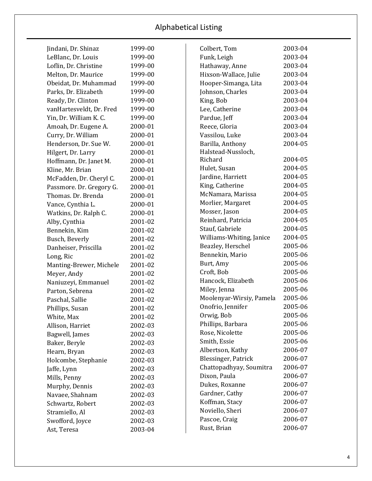| Jindani, Dr. Shinaz      | 1999-00 |
|--------------------------|---------|
| LeBlanc, Dr. Louis       | 1999-00 |
| Loflin, Dr. Christine    | 1999-00 |
| Melton, Dr. Maurice      | 1999-00 |
| Obeidat, Dr. Muhammad    | 1999-00 |
| Parks, Dr. Elizabeth     | 1999-00 |
| Ready, Dr. Clinton       | 1999-00 |
| vanHartesveldt, Dr. Fred | 1999-00 |
| Yin, Dr. William K. C.   | 1999-00 |
| Amoah, Dr. Eugene A.     | 2000-01 |
| Curry, Dr. William       | 2000-01 |
| Henderson, Dr. Sue W.    | 2000-01 |
| Hilgert, Dr. Larry       | 2000-01 |
| Hoffmann, Dr. Janet M.   | 2000-01 |
| Kline, Mr. Brian         | 2000-01 |
| McFadden, Dr. Cheryl C.  | 2000-01 |
| Passmore. Dr. Gregory G. | 2000-01 |
| Thomas. Dr. Brenda       | 2000-01 |
| Vance, Cynthia L.        | 2000-01 |
| Watkins, Dr. Ralph C.    | 2000-01 |
| Alby, Cynthia            | 2001-02 |
| Bennekin, Kim            | 2001-02 |
| Busch, Beverly           | 2001-02 |
| Danheiser, Priscilla     | 2001-02 |
| Long, Ric                | 2001-02 |
| Manting-Brewer, Michele  | 2001-02 |
| Meyer, Andy              | 2001-02 |
| Naniuzeyi, Emmanuel      | 2001-02 |
| Parton, Sebrena          | 2001-02 |
| Paschal, Sallie          | 2001-02 |
| Phillips, Susan          | 2001-02 |
| White, Max               | 2001-02 |
| Allison, Harriet         | 2002-03 |
| Bagwell, James           | 2002-03 |
| Baker, Beryle            | 2002-03 |
| Hearn, Bryan             | 2002-03 |
| Holcombe, Stephanie      | 2002-03 |
| Jaffe, Lynn              | 2002-03 |
| Mills, Penny             | 2002-03 |
| Murphy, Dennis           | 2002-03 |
| Navaee, Shahnam          | 2002-03 |
| Schwartz, Robert         | 2002-03 |
| Stramiello, Al           | 2002-03 |
| Swofford, Joyce          | 2002-03 |
| Ast, Teresa              | 2003-04 |

| Colbert, Tom                | 2003-04 |
|-----------------------------|---------|
| Funk, Leigh                 | 2003-04 |
| Hathaway, Anne              | 2003-04 |
| Hixson-Wallace, Julie       | 2003-04 |
| Hooper-Simanga, Lita        | 2003-04 |
| Johnson, Charles            | 2003-04 |
| King, Bob                   | 2003-04 |
| Lee, Catherine              | 2003-04 |
| Pardue, Jeff                | 2003-04 |
| Reece, Gloria               | 2003-04 |
| Vassilou, Luke              | 2003-04 |
| Barilla, Anthony            | 2004-05 |
| Halstead-Nussloch,          |         |
| Richard                     | 2004-05 |
| Hulet, Susan                | 2004-05 |
| Jardine, Harriett           | 2004-05 |
| King, Catherine             | 2004-05 |
| McNamara, Marissa           | 2004-05 |
| Morlier, Margaret           | 2004-05 |
| Mosser, Jason               | 2004-05 |
| Reinhard, Patricia          | 2004-05 |
| Stauf, Gabriele             | 2004-05 |
| Williams-Whiting, Janice    | 2004-05 |
| Beazley, Herschel           | 2005-06 |
| Bennekin, Mario             | 2005-06 |
| Burt, Amy                   | 2005-06 |
| Croft, Bob                  | 2005-06 |
| Hancock, Elizabeth          | 2005-06 |
| Miley, Jenna                | 2005-06 |
| Moolenyar-Wirsiy, Pamela    | 2005-06 |
| Onofrio, Jennifer           | 2005-06 |
| Orwig, Bob                  | 2005-06 |
| Phillips, Barbara           | 2005-06 |
| Rose, Nicolette             | 2005-06 |
| Smith, Essie                | 2005-06 |
| Albertson, Kathy            | 2006-07 |
| <b>Blessinger</b> , Patrick | 2006-07 |
| Chattopadhyay, Soumitra     | 2006-07 |
| Dixon, Paula                | 2006-07 |
| Dukes, Roxanne              | 2006-07 |
| Gardner, Cathy              | 2006-07 |
| Koffman, Stacy              | 2006-07 |
| Noviello, Sheri             | 2006-07 |
| Pascoe, Craig               | 2006-07 |
| Rust, Brian                 | 2006-07 |
|                             |         |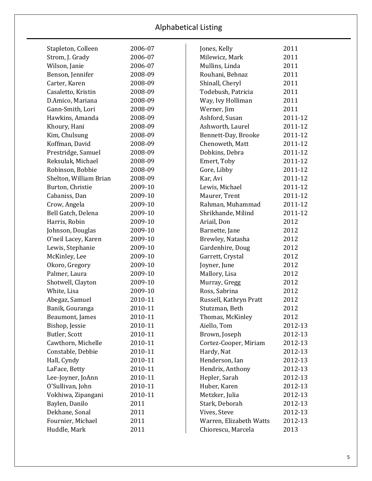| Stapleton, Colleen     | 2006-07 | Jones, Kelly            | 2011    |
|------------------------|---------|-------------------------|---------|
| Strom, J. Grady        | 2006-07 | Milewicz, Mark          | 2011    |
| Wilson, Janie          | 2006-07 | Mullins, Linda          | 2011    |
| Benson, Jennifer       | 2008-09 | Rouhani, Behnaz         | 2011    |
| Carter, Karen          | 2008-09 | Shinall, Cheryl         | 2011    |
| Casaletto, Kristin     | 2008-09 | Todebush, Patricia      | 2011    |
| D.Amico, Mariana       | 2008-09 | Way, Ivy Holliman       | 2011    |
| Gann-Smith, Lori       | 2008-09 | Werner, Jim             | 2011    |
| Hawkins, Amanda        | 2008-09 | Ashford, Susan          | 2011-12 |
| Khoury, Hani           | 2008-09 | Ashworth, Laurel        | 2011-12 |
| Kim, Chulsung          | 2008-09 | Bennett-Day, Brooke     | 2011-12 |
| Koffman, David         | 2008-09 | Chenoweth, Matt         | 2011-12 |
| Prestridge, Samuel     | 2008-09 | Dobkins, Debra          | 2011-12 |
| Reksulak, Michael      | 2008-09 | Emert, Toby             | 2011-12 |
| Robinson, Bobbie       | 2008-09 | Gore, Libby             | 2011-12 |
| Shelton, William Brian | 2008-09 | Kar, Avi                | 2011-12 |
| Burton, Christie       | 2009-10 | Lewis, Michael          | 2011-12 |
| Cabaniss, Dan          | 2009-10 | Maurer, Trent           | 2011-12 |
| Crow, Angela           | 2009-10 | Rahman, Muhammad        | 2011-12 |
| Bell Gatch, Delena     | 2009-10 | Shrikhande, Milind      | 2011-12 |
| Harris, Robin          | 2009-10 | Ariail, Don             | 2012    |
| Johnson, Douglas       | 2009-10 | Barnette, Jane          | 2012    |
| O'neil Lacey, Karen    | 2009-10 | Brewley, Natasha        | 2012    |
| Lewis, Stephanie       | 2009-10 | Gardenhire, Doug        | 2012    |
| McKinley, Lee          | 2009-10 | Garrett, Crystal        | 2012    |
| Okoro, Gregory         | 2009-10 | Joyner, June            | 2012    |
| Palmer, Laura          | 2009-10 | Mallory, Lisa           | 2012    |
| Shotwell, Clayton      | 2009-10 | Murray, Gregg           | 2012    |
| White, Lisa            | 2009-10 | Ross, Sabrina           | 2012    |
| Abegaz, Samuel         | 2010-11 | Russell, Kathryn Pratt  | 2012    |
| Banik, Gouranga        | 2010-11 | Stutzman, Beth          | 2012    |
| Beaumont, James        | 2010-11 | Thomas, McKinley        | 2012    |
| Bishop, Jessie         | 2010-11 | Aiello, Tom             | 2012-13 |
| Butler, Scott          | 2010-11 | Brown, Joseph           | 2012-13 |
| Cawthorn, Michelle     | 2010-11 | Cortez-Cooper, Miriam   | 2012-13 |
| Constable, Debbie      | 2010-11 | Hardy, Nat              | 2012-13 |
| Hall, Cyndy            | 2010-11 | Henderson, Ian          | 2012-13 |
| LaFace, Betty          | 2010-11 | Hendrix, Anthony        | 2012-13 |
| Lee-Joyner, JoAnn      | 2010-11 | Hepler, Sarah           | 2012-13 |
| O'Sullivan, John       | 2010-11 | Huber, Karen            | 2012-13 |
| Vokhiwa, Zipangani     | 2010-11 | Metzker, Julia          | 2012-13 |
| Baylen, Danilo         | 2011    | Stark, Deborah          | 2012-13 |
| Dekhane, Sonal         | 2011    | Vives, Steve            | 2012-13 |
| Fournier, Michael      | 2011    | Warren, Elizabeth Watts | 2012-13 |
| Huddle, Mark           | 2011    | Chiorescu, Marcela      | 2013    |
|                        |         |                         |         |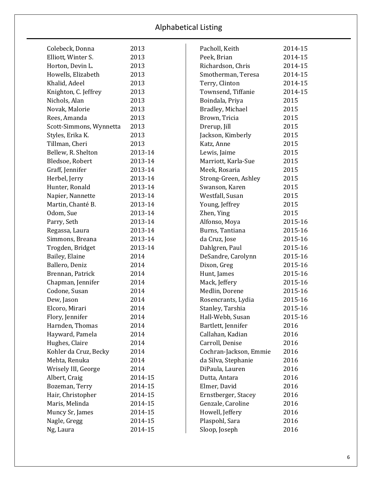| Colebeck, Donna         | 2013    | Pacholl, Keith         | 2014-15 |
|-------------------------|---------|------------------------|---------|
| Elliott, Winter S.      | 2013    | Peek, Brian            | 2014-15 |
| Horton, Devin L.        | 2013    | Richardson, Chris      | 2014-15 |
| Howells, Elizabeth      | 2013    | Smotherman, Teresa     | 2014-15 |
| Khalid, Adeel           | 2013    | Terry, Clinton         | 2014-15 |
| Knighton, C. Jeffrey    | 2013    | Townsend, Tiffanie     | 2014-15 |
| Nichols, Alan           | 2013    | Boindala, Priya        | 2015    |
| Novak, Malorie          | 2013    | Bradley, Michael       | 2015    |
| Rees, Amanda            | 2013    | Brown, Tricia          | 2015    |
| Scott-Simmons, Wynnetta | 2013    | Drerup, Jill           | 2015    |
| Styles, Erika K.        | 2013    | Jackson, Kimberly      | 2015    |
| Tillman, Cheri          | 2013    | Katz, Anne             | 2015    |
| Bellew, R. Shelton      | 2013-14 | Lewis, Jaime           | 2015    |
| Bledsoe, Robert         | 2013-14 | Marriott, Karla-Sue    | 2015    |
| Graff, Jennifer         | 2013-14 | Meek, Rosaria          | 2015    |
| Herbel, Jerry           | 2013-14 | Strong-Green, Ashley   | 2015    |
| Hunter, Ronald          | 2013-14 | Swanson, Karen         | 2015    |
| Napier, Nannette        | 2013-14 | Westfall, Susan        | 2015    |
| Martin, Chanté B.       | 2013-14 | Young, Jeffrey         | 2015    |
| Odom, Sue               | 2013-14 | Zhen, Ying             | 2015    |
| Parry, Seth             | 2013-14 | Alfonso, Moya          | 2015-16 |
| Regassa, Laura          | 2013-14 | Burns, Tantiana        | 2015-16 |
| Simmons, Breana         | 2013-14 | da Cruz, Jose          | 2015-16 |
| Trogden, Bridget        | 2013-14 | Dahlgren, Paul         | 2015-16 |
| Bailey, Elaine          | 2014    | DeSandre, Carolynn     | 2015-16 |
| Ballero, Deniz          | 2014    | Dixon, Greg            | 2015-16 |
| Brennan, Patrick        | 2014    | Hunt, James            | 2015-16 |
| Chapman, Jennifer       | 2014    | Mack, Jeffery          | 2015-16 |
| Codone, Susan           | 2014    | Medlin, Dorene         | 2015-16 |
| Dew, Jason              | 2014    | Rosencrants, Lydia     | 2015-16 |
| Elcoro, Mirari          | 2014    | Stanley, Tarshia       | 2015-16 |
| Flory, Jennifer         | 2014    | Hall-Webb, Susan       | 2015-16 |
| Harnden, Thomas         | 2014    | Bartlett, Jennifer     | 2016    |
| Hayward, Pamela         | 2014    | Callahan, Kadian       | 2016    |
| Hughes, Claire          | 2014    | Carroll, Denise        | 2016    |
| Kohler da Cruz, Becky   | 2014    | Cochran-Jackson, Emmie | 2016    |
| Mehta, Renuka           | 2014    | da Silva, Stephanie    | 2016    |
| Wrisely III, George     | 2014    | DiPaula, Lauren        | 2016    |
| Albert, Craig           | 2014-15 | Dutta, Antara          | 2016    |
| Bozeman, Terry          | 2014-15 | Elmer, David           | 2016    |
| Hair, Christopher       | 2014-15 | Ernstberger, Stacey    | 2016    |
| Maris, Melinda          | 2014-15 | Genzale, Caroline      | 2016    |
| Muncy Sr, James         | 2014-15 | Howell, Jeffery        | 2016    |
| Nagle, Gregg            | 2014-15 | Plaspohl, Sara         | 2016    |
| Ng, Laura               | 2014-15 | Sloop, Joseph          | 2016    |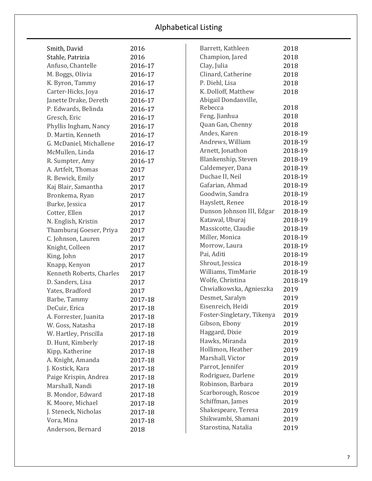| Smith, David             | 2016    | Barrett, Kathleen          | 2018    |
|--------------------------|---------|----------------------------|---------|
| Stahle, Patrizia         | 2016    | Champion, Jared            | 2018    |
| Anfuso, Chantelle        | 2016-17 | Clay, Julia                | 2018    |
| M. Boggs, Olivia         | 2016-17 | Clinard, Catherine         | 2018    |
| K. Byron, Tammy          | 2016-17 | P. Diehl, Lisa             | 2018    |
| Carter-Hicks, Joya       | 2016-17 | K. Dolloff, Matthew        | 2018    |
| Janette Drake, Dereth    | 2016-17 | Abigail Dondanville,       |         |
| P. Edwards, Belinda      | 2016-17 | Rebecca                    | 2018    |
| Gresch, Eric             | 2016-17 | Feng, Jianhua              | 2018    |
| Phyllis Ingham, Nancy    | 2016-17 | Quan Gan, Chenny           | 2018    |
| D. Martin, Kenneth       | 2016-17 | Andes, Karen               | 2018-19 |
| G. McDaniel, Michallene  | 2016-17 | Andrews, William           | 2018-19 |
| McMullen, Linda          | 2016-17 | Arnett, Jonathon           | 2018-19 |
| R. Sumpter, Amy          | 2016-17 | Blankenship, Steven        | 2018-19 |
| A. Artfelt, Thomas       | 2017    | Caldemeyer, Dana           | 2018-19 |
| R. Bewick, Emily         | 2017    | Duchae II, Neil            | 2018-19 |
| Kaj Blair, Samantha      | 2017    | Gafarian, Ahmad            | 2018-19 |
| Bronkema, Ryan           | 2017    | Goodwin, Sandra            | 2018-19 |
| Burke, Jessica           | 2017    | Hayslett, Renee            | 2018-19 |
| Cotter, Ellen            | 2017    | Dunson Johnson III, Edgar  | 2018-19 |
| N. English, Kristin      | 2017    | Katawal, Uburaj            | 2018-19 |
| Thamburaj Goeser, Priya  | 2017    | Massicotte, Claudie        | 2018-19 |
| C. Johnson, Lauren       | 2017    | Miller, Monica             | 2018-19 |
| Knight, Colleen          | 2017    | Morrow, Laura              | 2018-19 |
| King, John               | 2017    | Pai, Aditi                 | 2018-19 |
| Knapp, Kenyon            | 2017    | Shrout, Jessica            | 2018-19 |
| Kenneth Roberts, Charles | 2017    | Williams, TimMarie         | 2018-19 |
| D. Sanders, Lisa         | 2017    | Wolfe, Christina           | 2018-19 |
| Yates, Bradford          | 2017    | Chwialkowska, Agnieszka    | 2019    |
| Barbe, Tammy             | 2017-18 | Desmet, Saralyn            | 2019    |
| DeCuir, Erica            | 2017-18 | Eisenreich, Heidi          | 2019    |
| A. Forrester, Juanita    | 2017-18 | Foster-Singletary, Tikenya | 2019    |
| W. Goss, Natasha         | 2017-18 | Gibson, Ebony              | 2019    |
| W. Hartley, Priscilla    | 2017-18 | Haggard, Dixie             | 2019    |
| D. Hunt, Kimberly        | 2017-18 | Hawks, Miranda             | 2019    |
| Kipp, Katherine          | 2017-18 | Hollimon, Heather          | 2019    |
| A. Knight, Amanda        | 2017-18 | Marshall, Victor           | 2019    |
| J. Kostick, Kara         | 2017-18 | Parrot, Jennifer           | 2019    |
| Paige Krispin, Andrea    | 2017-18 | Rodriguez, Darlene         | 2019    |
| Marshall, Nandi          | 2017-18 | Robinson, Barbara          | 2019    |
| B. Mondor, Edward        | 2017-18 | Scarborough, Roscoe        | 2019    |
| K. Moore, Michael        | 2017-18 | Schiffman, James           | 2019    |
| J. Steneck, Nicholas     | 2017-18 | Shakespeare, Teresa        | 2019    |
| Vora, Mina               | 2017-18 | Shikwambi, Shamani         | 2019    |
| Anderson, Bernard        | 2018    | Starostina, Natalia        | 2019    |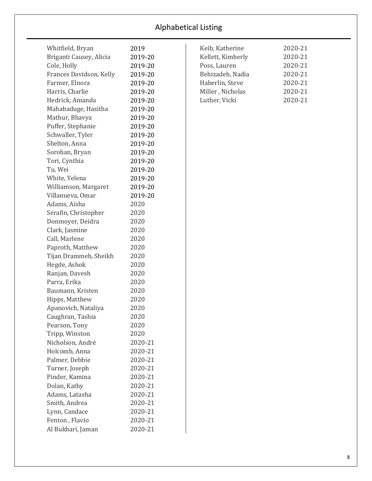| Whitfield, Bryan        | 2019    |
|-------------------------|---------|
| Briganti Causey, Alicia | 2019-20 |
| Cole, Holly             | 2019-20 |
| Frances Davidson, Kelly | 2019-20 |
| Farmer, Elnora          | 2019-20 |
| Harris, Charlie         | 2019-20 |
| Hedrick, Amanda         | 2019-20 |
| Mahabaduge, Hasitha     | 2019-20 |
| Mathur, Bhavya          | 2019-20 |
| Puffer, Stephanie       | 2019-20 |
| Schwaller, Tyler        | 2019-20 |
| Shelton, Anna           | 2019-20 |
| Sorohan, Bryan          | 2019-20 |
| Tori, Cynthia           | 2019-20 |
| Tu, Wei                 | 2019-20 |
| White, Yelena           | 2019-20 |
| Williamson, Margaret    | 2019-20 |
| Villanueva, Omar        | 2019-20 |
| Adams, Aisha            | 2020    |
| Serafin, Christopher    | 2020    |
| Donmoyer, Deidra        | 2020    |
| Clark, Jasmine          | 2020    |
| Call, Marlene           | 2020    |
| Paproth, Matthew        | 2020    |
| Tijan Drammeh, Sheikh   | 2020    |
| Hegde, Ashok            | 2020    |
| Ranjan, Davesh          | 2020    |
| Parra, Erika            | 2020    |
| Baumann, Kristen        | 2020    |
| Hipps, Matthew          | 2020    |
| Apanovich, Nataliya     | 2020    |
| Caughran, Tashia        | 2020    |
| Pearson, Tony           | 2020    |
| Tripp, Winston          | 2020    |
| Nicholson, André        | 2020-21 |
| Holcomb, Anna           | 2020-21 |
| Palmer, Debbie          | 2020-21 |
| Turner, Joseph          | 2020-21 |
| Pinder, Kamina          | 2020-21 |
| Dolan, Kathy            | 2020-21 |
| Adams, Latasha          | 2020-21 |
| Smith, Andrea           | 2020-21 |
| Lynn, Candace           | 2020-21 |
| Fenton, Flavio          | 2020-21 |
| Al Bukhari, Jaman       | 2020-21 |

| Keib, Katherine   | 2020-21 |
|-------------------|---------|
| Kellett, Kimberly | 2020-21 |
| Poss, Lauren      | 2020-21 |
| Behizadeh, Nadia  | 2020-21 |
| Haberlin, Steve   | 2020-21 |
| Miller, Nicholas  | 2020-21 |
| Luther, Vicki     | 2020-21 |
|                   |         |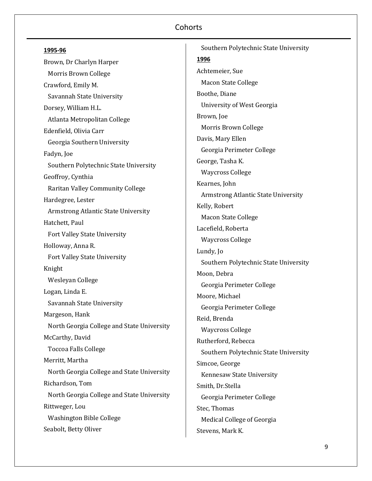Brown, Dr Charlyn Harper Morris Brown College Crawford, Emily M. Savannah State University Dorsey, William H.L. Atlanta Metropolitan College Edenfield, Olivia Carr Georgia Southern University Fadyn, Joe Southern Polytechnic State University Geoffroy, Cynthia Raritan Valley Community College Hardegree, Lester Armstrong Atlantic State University Hatchett, Paul Fort Valley State University Holloway, Anna R. Fort Valley State University Knight Wesleyan College Logan, Linda E. Savannah State University Margeson, Hank North Georgia College and State University McCarthy, David Toccoa Falls College Merritt, Martha North Georgia College and State University Richardson, Tom North Georgia College and State University Rittweger, Lou Washington Bible College Seabolt, Betty Oliver

 Southern Polytechnic State University **1996** Achtemeier, Sue Macon State College Boothe, Diane University of West Georgia Brown, Joe Morris Brown College Davis, Mary Ellen Georgia Perimeter College George, Tasha K. Waycross College Kearnes, John Armstrong Atlantic State University Kelly, Robert Macon State College Lacefield, Roberta Waycross College Lundy, Jo Southern Polytechnic State University Moon, Debra Georgia Perimeter College Moore, Michael Georgia Perimeter College Reid, Brenda Waycross College Rutherford, Rebecca Southern Polytechnic State University Simcoe, George Kennesaw State University Smith, Dr.Stella Georgia Perimeter College Stec, Thomas Medical College of Georgia Stevens, Mark K.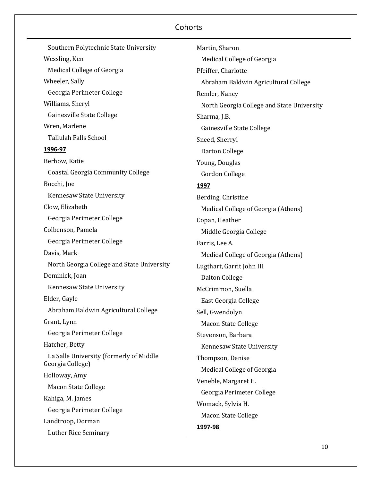Southern Polytechnic State University Wessling, Ken Medical College of Georgia Wheeler, Sally Georgia Perimeter College Williams, Sheryl Gainesville State College Wren, Marlene Tallulah Falls School **1996-97** Berhow, Katie Coastal Georgia Community College Bocchi, Joe Kennesaw State University Clow, Elizabeth Georgia Perimeter College Colbenson, Pamela Georgia Perimeter College Davis, Mark North Georgia College and State University Dominick, Joan Kennesaw State University Elder, Gayle Abraham Baldwin Agricultural College Grant, Lynn Georgia Perimeter College Hatcher, Betty La Salle University (formerly of Middle Georgia College) Holloway, Amy Macon State College Kahiga, M. James Georgia Perimeter College Landtroop, Dorman Luther Rice Seminary

Martin, Sharon Medical College of Georgia Pfeiffer, Charlotte Abraham Baldwin Agricultural College Remler, Nancy North Georgia College and State University Sharma, J.B. Gainesville State College Sneed, Sherryl Darton College Young, Douglas Gordon College **1997** Berding, Christine Medical College of Georgia (Athens) Copan, Heather Middle Georgia College Farris, Lee A. Medical College of Georgia (Athens) Lugthart, Garrit John III Dalton College McCrimmon, Suella East Georgia College Sell, Gwendolyn Macon State College Stevenson, Barbara Kennesaw State University Thompson, Denise Medical College of Georgia Veneble, Margaret H. Georgia Perimeter College Womack, Sylvia H. Macon State College **1997-98**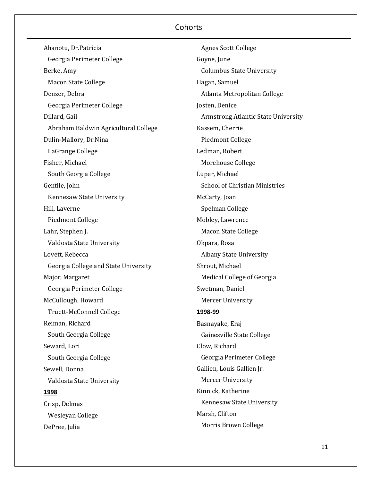Ahanotu, Dr.Patricia Georgia Perimeter College Berke, Amy Macon State College Denzer, Debra Georgia Perimeter College Dillard, Gail Abraham Baldwin Agricultural College Dulin-Mallory, Dr.Nina LaGrange College Fisher, Michael South Georgia College Gentile, John Kennesaw State University Hill, Laverne Piedmont College Lahr, Stephen J. Valdosta State University Lovett, Rebecca Georgia College and State University Major, Margaret Georgia Perimeter College McCullough, Howard Truett-McConnell College Reiman, Richard South Georgia College Seward, Lori South Georgia College Sewell, Donna Valdosta State University **1998** Crisp, Delmas Wesleyan College DePree, Julia

 Agnes Scott College Goyne, June Columbus State University Hagan, Samuel Atlanta Metropolitan College Josten, Denice Armstrong Atlantic State University Kassem, Cherrie Piedmont College Ledman, Robert Morehouse College Luper, Michael School of Christian Ministries McCarty, Joan Spelman College Mobley, Lawrence Macon State College Okpara, Rosa Albany State University Shrout, Michael Medical College of Georgia Swetman, Daniel Mercer University **1998-99** Basnayake, Eraj Gainesville State College Clow, Richard Georgia Perimeter College Gallien, Louis Gallien Jr. Mercer University Kinnick, Katherine Kennesaw State University Marsh, Clifton Morris Brown College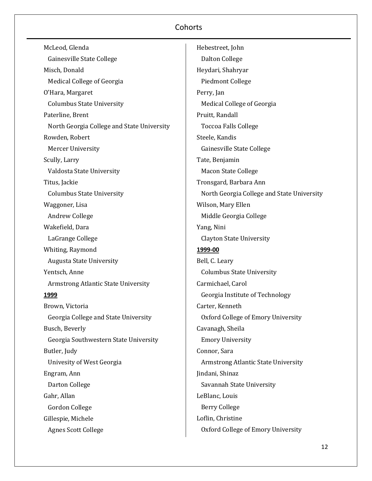| McLeod, Glenda                             | Hebestreet, John                           |
|--------------------------------------------|--------------------------------------------|
| Gainesville State College                  | <b>Dalton College</b>                      |
| Misch, Donald                              | Heydari, Shahryar                          |
| Medical College of Georgia                 | <b>Piedmont College</b>                    |
| O'Hara, Margaret                           | Perry, Jan                                 |
| <b>Columbus State University</b>           | Medical College of Georgia                 |
| Paterline, Brent                           | Pruitt, Randall                            |
| North Georgia College and State University | <b>Toccoa Falls College</b>                |
| Rowden, Robert                             | Steele, Kandis                             |
| <b>Mercer University</b>                   | Gainesville State College                  |
| Scully, Larry                              | Tate, Benjamin                             |
| Valdosta State University                  | <b>Macon State College</b>                 |
| Titus, Jackie                              | Tronsgard, Barbara Ann                     |
| <b>Columbus State University</b>           | North Georgia College and State University |
| Waggoner, Lisa                             | Wilson, Mary Ellen                         |
| Andrew College                             | Middle Georgia College                     |
| Wakefield, Dara                            | Yang, Nini                                 |
| LaGrange College                           | <b>Clayton State University</b>            |
| Whiting, Raymond                           | 1999-00                                    |
| <b>Augusta State University</b>            | Bell, C. Leary                             |
| Yentsch, Anne                              | <b>Columbus State University</b>           |
| Armstrong Atlantic State University        | Carmichael, Carol                          |
| <u>1999</u>                                | Georgia Institute of Technology            |
| Brown, Victoria                            | Carter, Kenneth                            |
| Georgia College and State University       | Oxford College of Emory University         |
| Busch, Beverly                             | Cavanagh, Sheila                           |
| Georgia Southwestern State University      | <b>Emory University</b>                    |
| Butler, Judy                               | Connor, Sara                               |
| Univesity of West Georgia                  | Armstrong Atlantic State University        |
| Engram, Ann                                | Jindani, Shinaz                            |
| Darton College                             | Savannah State University                  |
| Gahr, Allan                                | LeBlanc, Louis                             |
| Gordon College                             | <b>Berry College</b>                       |
| Gillespie, Michele                         | Loflin, Christine                          |
| <b>Agnes Scott College</b>                 | Oxford College of Emory University         |
|                                            |                                            |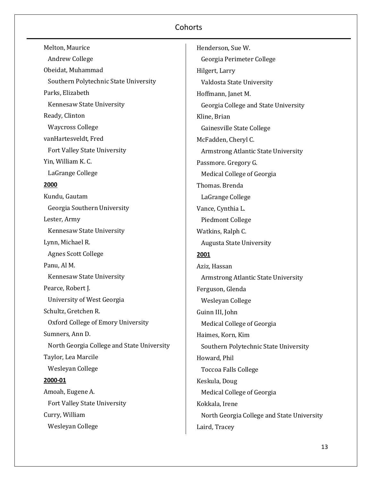| Melton, Maurice                            |
|--------------------------------------------|
| <b>Andrew College</b>                      |
| Obeidat, Muhammad                          |
| Southern Polytechnic State University      |
| Parks, Elizabeth                           |
| Kennesaw State University                  |
| Ready, Clinton                             |
| <b>Waycross College</b>                    |
| vanHartesveldt, Fred                       |
| <b>Fort Valley State University</b>        |
| Yin, William K. C.                         |
| LaGrange College                           |
| 2000                                       |
| Kundu, Gautam                              |
| Georgia Southern University                |
| Lester, Army                               |
| Kennesaw State University                  |
| Lynn, Michael R.                           |
| <b>Agnes Scott College</b>                 |
| Panu, Al M.                                |
| Kennesaw State University                  |
| Pearce, Robert J.                          |
| University of West Georgia                 |
| Schultz, Gretchen R.                       |
| Oxford College of Emory University         |
| Sumners, Ann D.                            |
| North Georgia College and State University |
| Taylor, Lea Marcile                        |
| Wesleyan College                           |
| 2000-01                                    |
| Amoah, Eugene A.                           |
| Fort Valley State University               |
| Curry, William                             |
| Wesleyan College                           |

Henderson, Sue W. Georgia Perimeter College Hilgert, Larry Valdosta State University Hoffmann, Janet M. Georgia College and State University Kline, Brian Gainesville State College McFadden, Cheryl C. Armstrong Atlantic State University Passmore. Gregory G. Medical College of Georgia Thomas. Brenda LaGrange College Vance, Cynthia L. Piedmont College Watkins, Ralph C. Augusta State University **2001** Aziz, Hassan Armstrong Atlantic State University Ferguson, Glenda Wesleyan College Guinn III, John Medical College of Georgia Haimes, Korn, Kim Southern Polytechnic State University Howard, Phil Toccoa Falls College Keskula, Doug Medical College of Georgia Kokkala, Irene North Georgia College and State University Laird, Tracey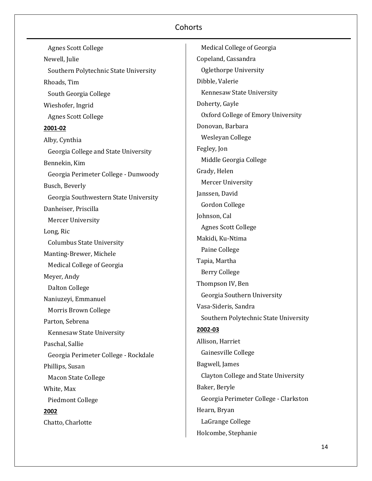Agnes Scott College Newell, Julie Southern Polytechnic State University Rhoads, Tim South Georgia College Wieshofer, Ingrid Agnes Scott College **2001-02** Alby, Cynthia Georgia College and State University Bennekin, Kim Georgia Perimeter College - Dunwoody Busch, Beverly Georgia Southwestern State University Danheiser, Priscilla Mercer University Long, Ric Columbus State University Manting-Brewer, Michele Medical College of Georgia Meyer, Andy Dalton College Naniuzeyi, Emmanuel Morris Brown College Parton, Sebrena Kennesaw State University Paschal, Sallie Georgia Perimeter College - Rockdale Phillips, Susan Macon State College White, Max Piedmont College **2002** Chatto, Charlotte

 Medical College of Georgia Copeland, Cassandra Oglethorpe University Dibble, Valerie Kennesaw State University Doherty, Gayle Oxford College of Emory University Donovan, Barbara Wesleyan College Fegley, Jon Middle Georgia College Grady, Helen Mercer University Janssen, David Gordon College Johnson, Cal Agnes Scott College Makidi, Ku-Ntima Paine College Tapia, Martha Berry College Thompson IV, Ben Georgia Southern University Vasa-Sideris, Sandra Southern Polytechnic State University **2002-03** Allison, Harriet Gainesville College Bagwell, James Clayton College and State University Baker, Beryle Georgia Perimeter College - Clarkston Hearn, Bryan LaGrange College Holcombe, Stephanie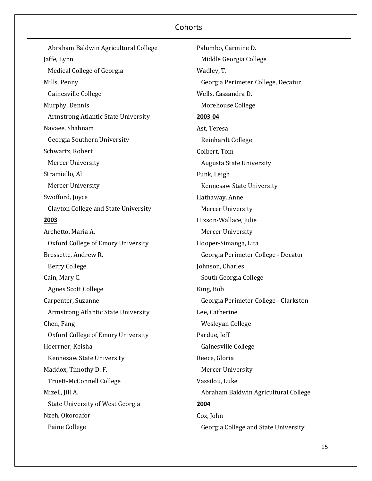Abraham Baldwin Agricultural College Jaffe, Lynn Medical College of Georgia Mills, Penny Gainesville College Murphy, Dennis Armstrong Atlantic State University Navaee, Shahnam Georgia Southern University Schwartz, Robert Mercer University Stramiello, Al Mercer University Swofford, Joyce Clayton College and State University **2003** Archetto, Maria A. Oxford College of Emory University Bressette, Andrew R. Berry College Cain, Mary C. Agnes Scott College Carpenter, Suzanne Armstrong Atlantic State University Chen, Fang Oxford College of Emory University Hoerrner, Keisha Kennesaw State University Maddox, Timothy D. F. Truett-McConnell College Mizell, Jill A. State University of West Georgia Nzeh, Okoroafor Paine College

Palumbo, Carmine D. Middle Georgia College Wadley, T. Georgia Perimeter College, Decatur Wells, Cassandra D. Morehouse College **2003-04** Ast, Teresa Reinhardt College Colbert, Tom Augusta State University Funk, Leigh Kennesaw State University Hathaway, Anne Mercer University Hixson-Wallace, Julie Mercer University Hooper-Simanga, Lita Georgia Perimeter College - Decatur Johnson, Charles South Georgia College King, Bob Georgia Perimeter College - Clarkston Lee, Catherine Wesleyan College Pardue, Jeff Gainesville College Reece, Gloria Mercer University Vassilou, Luke Abraham Baldwin Agricultural College **2004** Cox, John Georgia College and State University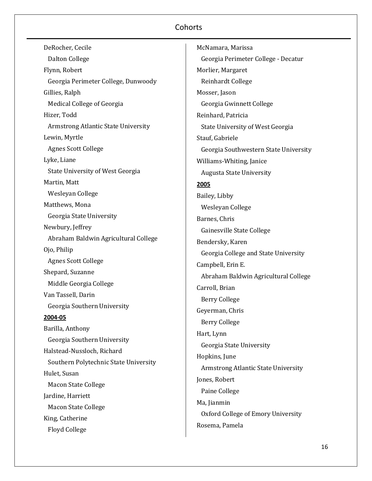| DeRocher, Cecile                        |
|-----------------------------------------|
| Dalton College                          |
| Flynn, Robert                           |
| Georgia Perimeter College, Dunwoody     |
| Gillies, Ralph                          |
| Medical College of Georgia              |
| Hizer, Todd                             |
| Armstrong Atlantic State University     |
| Lewin, Myrtle                           |
| <b>Agnes Scott College</b>              |
| Lyke, Liane                             |
| <b>State University of West Georgia</b> |
| Martin, Matt                            |
| Wesleyan College                        |
| Matthews, Mona                          |
| Georgia State University                |
| Newbury, Jeffrey                        |
| Abraham Baldwin Agricultural College    |
| Ojo, Philip                             |
| <b>Agnes Scott College</b>              |
| Shepard, Suzanne                        |
| Middle Georgia College                  |
| Van Tassell, Darin                      |
| Georgia Southern University             |
| 2004-05                                 |
| Barilla, Anthony                        |
| Georgia Southern University             |
| Halstead-Nussloch, Richard              |
| Southern Polytechnic State University   |
| Hulet, Susan                            |
| <b>Macon State College</b>              |
| Jardine, Harriett                       |
| <b>Macon State College</b>              |
| King, Catherine                         |
| <b>Floyd College</b>                    |

McNamara, Marissa Georgia Perimeter College - Decatur Morlier, Margaret Reinhardt College Mosser, Jason Georgia Gwinnett College Reinhard, Patricia State University of West Georgia Stauf, Gabriele Georgia Southwestern State University Williams-Whiting, Janice Augusta State University **2005** Bailey, Libby Wesleyan College Barnes, Chris Gainesville State College Bendersky, Karen Georgia College and State University Campbell, Erin E. Abraham Baldwin Agricultural College Carroll, Brian Berry College Geyerman, Chris Berry College Hart, Lynn Georgia State University Hopkins, June Armstrong Atlantic State University Jones, Robert Paine College Ma, Jianmin Oxford College of Emory University Rosema, Pamela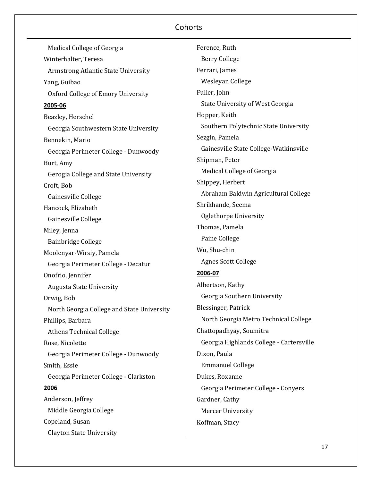| Medical College of Georgia                 |
|--------------------------------------------|
| Winterhalter, Teresa                       |
| <b>Armstrong Atlantic State University</b> |
| Yang, Guibao                               |
| Oxford College of Emory University         |
| 2005-06                                    |
| Beazley, Herschel                          |
| Georgia Southwestern State University      |
| Bennekin, Mario                            |
| Georgia Perimeter College - Dunwoody       |
| Burt, Amy                                  |
| Gerogia College and State University       |
| Croft, Bob                                 |
| Gainesville College                        |
| Hancock, Elizabeth                         |
| Gainesville College                        |
| Miley, Jenna                               |
| <b>Bainbridge College</b>                  |
| Moolenyar-Wirsiy, Pamela                   |
| Georgia Perimeter College - Decatur        |
| Onofrio, Jennifer                          |
| <b>Augusta State University</b>            |
| Orwig, Bob                                 |
| North Georgia College and State University |
| Phillips, Barbara                          |
| <b>Athens Technical College</b>            |
| Rose, Nicolette                            |
| Georgia Perimeter College - Dunwoody       |
| Smith, Essie                               |
| Georgia Perimeter College - Clarkston      |
| 2006                                       |
| Anderson, Jeffrey                          |
| Middle Georgia College                     |
| Copeland, Susan                            |
| <b>Clayton State University</b>            |

Ference, Ruth Berry College Ferrari, James Wesleyan College Fuller, John State University of West Georgia Hopper, Keith Southern Polytechnic State University Sezgin, Pamela Gainesville State College-Watkinsville Shipman, Peter Medical College of Georgia Shippey, Herbert Abraham Baldwin Agricultural College Shrikhande, Seema Oglethorpe University Thomas, Pamela Paine College Wu, Shu-chin Agnes Scott College **2006-07** Albertson, Kathy Georgia Southern University Blessinger, Patrick North Georgia Metro Technical College Chattopadhyay, Soumitra Georgia Highlands College - Cartersville Dixon, Paula Emmanuel College Dukes, Roxanne Georgia Perimeter College - Conyers Gardner, Cathy Mercer University Koffman, Stacy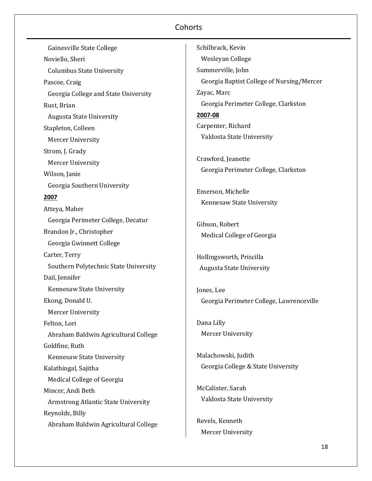| Gainesville State College             | Schilbrack, Kevin                         |
|---------------------------------------|-------------------------------------------|
| Noviello, Sheri                       | Wesleyan College                          |
| <b>Columbus State University</b>      | Summerville, John                         |
| Pascoe, Craig                         | Georgia Baptist College of Nursing/Mercer |
| Georgia College and State University  | Zayac, Marc                               |
| Rust, Brian                           | Georgia Perimeter College, Clarkston      |
| <b>Augusta State University</b>       | 2007-08                                   |
| Stapleton, Colleen                    | Carpenter, Richard                        |
| <b>Mercer University</b>              | Valdosta State University                 |
| Strom, J. Grady                       |                                           |
| Mercer University                     | Crawford, Jeanette                        |
| Wilson, Janie                         | Georgia Perimeter College, Clarkston      |
| Georgia Southern University           |                                           |
| 2007                                  | Emerson, Michelle                         |
| Atteya, Maher                         | Kennesaw State University                 |
| Georgia Perimeter College, Decatur    |                                           |
| Brandon Jr., Christopher              | Gibson, Robert                            |
| Georgia Gwinnett College              | Medical College of Georgia                |
| Carter, Terry                         | Hollingsworth, Priscilla                  |
| Southern Polytechnic State University | <b>Augusta State University</b>           |
| Dail, Jennifer                        |                                           |
| Kennesaw State University             | Jones, Lee                                |
| Ekong, Donald U.                      | Georgia Perimeter College, Lawrenceville  |
| <b>Mercer University</b>              |                                           |
| Felton, Lori                          | Dana Lilly                                |
| Abraham Baldwin Agricultural College  | <b>Mercer University</b>                  |
| Goldfine, Ruth                        |                                           |
| Kennesaw State University             | Malachowski, Judith                       |
| Kalathingal, Sajitha                  | Georgia College & State University        |
| Medical College of Georgia            |                                           |
| Mincer, Andi Beth                     | McCalister, Sarah                         |
| Armstrong Atlantic State University   | Valdosta State University                 |
| Reynolds, Billy                       |                                           |
| Abraham Baldwin Agricultural College  | Revels, Kenneth                           |
|                                       | <b>Mercer University</b>                  |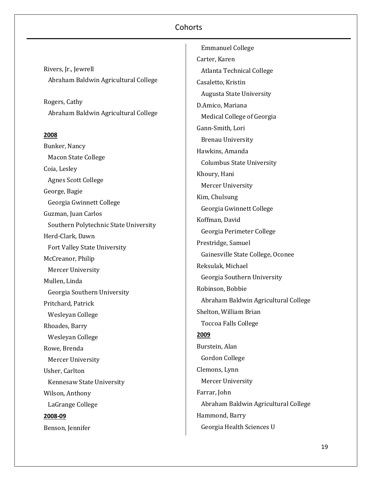Rivers, Jr., Jewrell Abraham Baldwin Agricultural College

Rogers, Cathy Abraham Baldwin Agricultural College

#### **2008**

Bunker, Nancy Macon State College Coia, Lesley Agnes Scott College George, Bagie Georgia Gwinnett College Guzman, Juan Carlos Southern Polytechnic State University Herd-Clark, Dawn Fort Valley State University McCreanor, Philip Mercer University Mullen, Linda Georgia Southern University Pritchard, Patrick Wesleyan College Rhoades, Barry Wesleyan College Rowe, Brenda Mercer University Usher, Carlton Kennesaw State University Wilson, Anthony LaGrange College **2008-09** Benson, Jennifer

 Emmanuel College Carter, Karen Atlanta Technical College Casaletto, Kristin Augusta State University D.Amico, Mariana Medical College of Georgia Gann-Smith, Lori Brenau University Hawkins, Amanda Columbus State University Khoury, Hani Mercer University Kim, Chulsung Georgia Gwinnett College Koffman, David Georgia Perimeter College Prestridge, Samuel Gainesville State College, Oconee Reksulak, Michael Georgia Southern University Robinson, Bobbie Abraham Baldwin Agricultural College Shelton, William Brian Toccoa Falls College **2009** Burstein, Alan Gordon College Clemons, Lynn Mercer University Farrar, John Abraham Baldwin Agricultural College Hammond, Barry Georgia Health Sciences U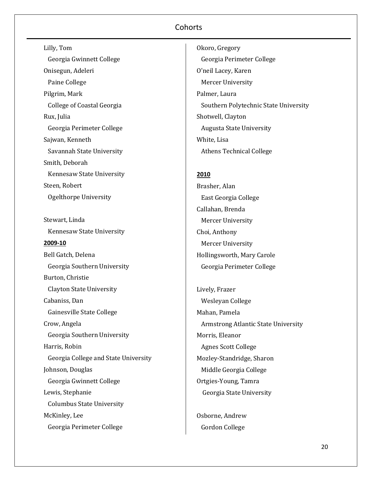Lilly, Tom Georgia Gwinnett College Onisegun, Adeleri Paine College Pilgrim, Mark College of Coastal Georgia Rux, Julia Georgia Perimeter College Sajwan, Kenneth Savannah State University Smith, Deborah Kennesaw State University Steen, Robert Ogelthorpe University

Stewart, Linda Kennesaw State University **2009-10** Bell Gatch, Delena Georgia Southern University Burton, Christie Clayton State University Cabaniss, Dan Gainesville State College Crow, Angela Georgia Southern University Harris, Robin Georgia College and State University Johnson, Douglas Georgia Gwinnett College Lewis, Stephanie Columbus State University McKinley, Lee Georgia Perimeter College

Okoro, Gregory Georgia Perimeter College O'neil Lacey, Karen Mercer University Palmer, Laura Southern Polytechnic State University Shotwell, Clayton Augusta State University White, Lisa Athens Technical College

### **2010**

Brasher, Alan East Georgia College Callahan, Brenda Mercer University Choi, Anthony Mercer University Hollingsworth, Mary Carole Georgia Perimeter College

Lively, Frazer Wesleyan College Mahan, Pamela Armstrong Atlantic State University Morris, Eleanor Agnes Scott College Mozley-Standridge, Sharon Middle Georgia College Ortgies-Young, Tamra Georgia State University

Osborne, Andrew Gordon College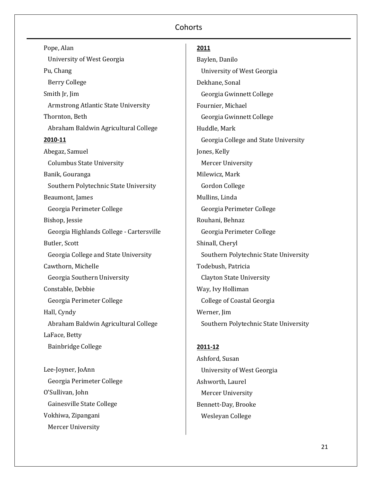Pope, Alan University of West Georgia Pu, Chang Berry College Smith Jr, Jim Armstrong Atlantic State University Thornton, Beth Abraham Baldwin Agricultural College **2010-11** Abegaz, Samuel Columbus State University Banik, Gouranga Southern Polytechnic State University Beaumont, James Georgia Perimeter College Bishop, Jessie Georgia Highlands College - Cartersville Butler, Scott Georgia College and State University Cawthorn, Michelle Georgia Southern University Constable, Debbie Georgia Perimeter College Hall, Cyndy Abraham Baldwin Agricultural College LaFace, Betty Bainbridge College Lee-Joyner, JoAnn Georgia Perimeter College O'Sullivan, John

 Gainesville State College Vokhiwa, Zipangani Mercer University

#### **2011**

Baylen, Danilo University of West Georgia Dekhane, Sonal Georgia Gwinnett College Fournier, Michael Georgia Gwinnett College Huddle, Mark Georgia College and State University Jones, Kelly Mercer University Milewicz, Mark Gordon College Mullins, Linda Georgia Perimeter College Rouhani, Behnaz Georgia Perimeter College Shinall, Cheryl Southern Polytechnic State University Todebush, Patricia Clayton State University Way, Ivy Holliman College of Coastal Georgia Werner, Jim Southern Polytechnic State University

#### **2011-12**

Ashford, Susan University of West Georgia Ashworth, Laurel Mercer University Bennett-Day, Brooke Wesleyan College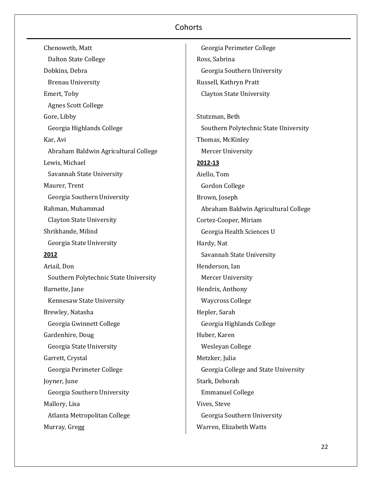| Chenoweth, Matt                       |
|---------------------------------------|
| <b>Dalton State College</b>           |
| Dobkins, Debra                        |
| <b>Brenau University</b>              |
| Emert, Toby                           |
| <b>Agnes Scott College</b>            |
| Gore, Libby                           |
| Georgia Highlands College             |
| Kar, Avi                              |
| Abraham Baldwin Agricultural College  |
| Lewis, Michael                        |
| Savannah State University             |
| Maurer, Trent                         |
| Georgia Southern University           |
| Rahman, Muhammad                      |
| <b>Clayton State University</b>       |
| Shrikhande, Milind                    |
| Georgia State University              |
| <u> 2012 </u>                         |
| Ariail, Don                           |
| Southern Polytechnic State University |
| Barnette, Jane                        |
| Kennesaw State University             |
| Brewley, Natasha                      |
| Georgia Gwinnett College              |
| Gardenhire, Doug                      |
| Georgia State University              |
| Garrett, Crystal                      |
| Georgia Perimeter College             |
| Joyner, June                          |
| Georgia Southern University           |
| Mallory, Lisa                         |
| Atlanta Metropolitan College          |
| Murray, Gregg                         |

 Georgia Perimeter College Ross, Sabrina Georgia Southern University Russell, Kathryn Pratt Clayton State University Stutzman, Beth Southern Polytechnic State University Thomas, McKinley Mercer University **2012-13** Aiello, Tom Gordon College Brown, Joseph Abraham Baldwin Agricultural College Cortez-Cooper, Miriam Georgia Health Sciences U Hardy, Nat Savannah State University Henderson, Ian Mercer University Hendrix, Anthony Waycross College Hepler, Sarah Georgia Highlands College Huber, Karen Wesleyan College Metzker, Julia Georgia College and State University Stark, Deborah Emmanuel College Vives, Steve Georgia Southern University Warren, Elizabeth Watts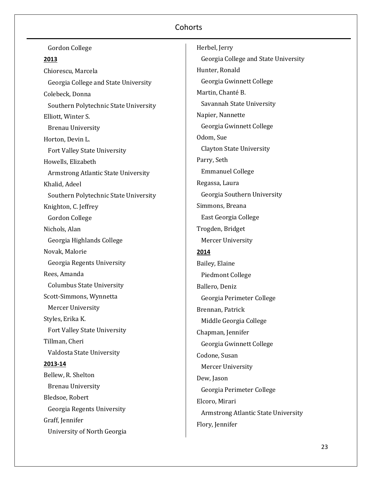| Gordon College                        | Herbel, Jerry                        |
|---------------------------------------|--------------------------------------|
| 2013                                  | Georgia College and State University |
| Chiorescu, Marcela                    | Hunter, Ronald                       |
| Georgia College and State University  | Georgia Gwinnett College             |
| Colebeck, Donna                       | Martin, Chanté B.                    |
| Southern Polytechnic State University | Savannah State University            |
| Elliott, Winter S.                    | Napier, Nannette                     |
| <b>Brenau University</b>              | Georgia Gwinnett College             |
| Horton, Devin L.                      | Odom, Sue                            |
| Fort Valley State University          | <b>Clayton State University</b>      |
| Howells, Elizabeth                    | Parry, Seth                          |
| Armstrong Atlantic State University   | <b>Emmanuel College</b>              |
| Khalid, Adeel                         | Regassa, Laura                       |
| Southern Polytechnic State University | Georgia Southern University          |
| Knighton, C. Jeffrey                  | Simmons, Breana                      |
| Gordon College                        | East Georgia College                 |
| Nichols, Alan                         | Trogden, Bridget                     |
| Georgia Highlands College             | <b>Mercer University</b>             |
| Novak, Malorie                        | 2014                                 |
| Georgia Regents University            | Bailey, Elaine                       |
| Rees, Amanda                          | <b>Piedmont College</b>              |
| <b>Columbus State University</b>      | Ballero, Deniz                       |
| Scott-Simmons, Wynnetta               | Georgia Perimeter College            |
| <b>Mercer University</b>              | Brennan, Patrick                     |
| Styles, Erika K.                      | Middle Georgia College               |
| Fort Valley State University          | Chapman, Jennifer                    |
| Tillman, Cheri                        | Georgia Gwinnett College             |
| Valdosta State University             | Codone, Susan                        |
| 2013-14                               | <b>Mercer University</b>             |
| Bellew, R. Shelton                    | Dew, Jason                           |
| <b>Brenau University</b>              | Georgia Perimeter College            |
| Bledsoe, Robert                       | Elcoro, Mirari                       |
| Georgia Regents University            | Armstrong Atlantic State University  |
| Graff, Jennifer                       | Flory, Jennifer                      |
| University of North Georgia           |                                      |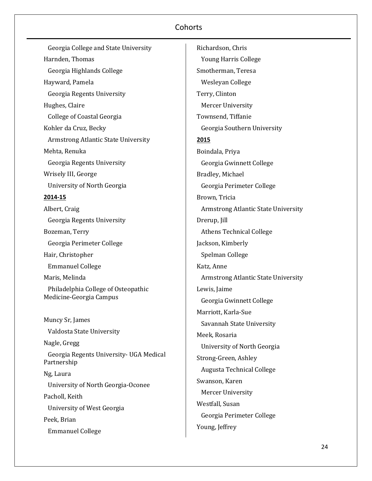Georgia College and State University Harnden, Thomas Georgia Highlands College Hayward, Pamela Georgia Regents University Hughes, Claire College of Coastal Georgia Kohler da Cruz, Becky Armstrong Atlantic State University Mehta, Renuka Georgia Regents University Wrisely III, George University of North Georgia **2014-15** Albert, Craig Georgia Regents University Bozeman, Terry Georgia Perimeter College Hair, Christopher Emmanuel College Maris, Melinda Philadelphia College of Osteopathic Medicine-Georgia Campus Muncy Sr, James Valdosta State University Nagle, Gregg Georgia Regents University- UGA Medical Partnership Ng, Laura University of North Georgia-Oconee Pacholl, Keith University of West Georgia Peek, Brian Emmanuel College

Richardson, Chris Young Harris College Smotherman, Teresa Wesleyan College Terry, Clinton Mercer University Townsend, Tiffanie Georgia Southern University **2015** Boindala, Priya Georgia Gwinnett College Bradley, Michael Georgia Perimeter College Brown, Tricia Armstrong Atlantic State University Drerup, Jill Athens Technical College Jackson, Kimberly Spelman College Katz, Anne Armstrong Atlantic State University Lewis, Jaime Georgia Gwinnett College Marriott, Karla-Sue Savannah State University Meek, Rosaria University of North Georgia Strong-Green, Ashley Augusta Technical College Swanson, Karen Mercer University Westfall, Susan Georgia Perimeter College Young, Jeffrey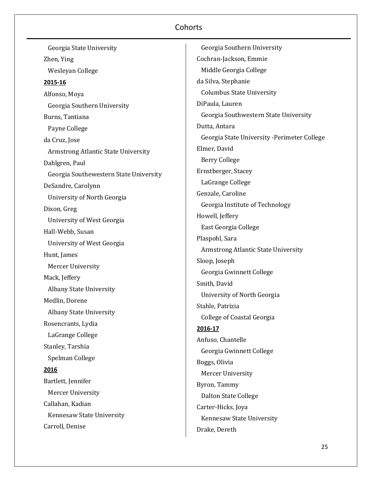Georgia State University Zhen, Ying Wesleyan College **2015-16** Alfonso, Moya Georgia Southern University Burns, Tantiana Payne College da Cruz, Jose Armstrong Atlantic State University Dahlgren, Paul Georgia Southewestern State University DeSandre, Carolynn University of North Georgia Dixon, Greg University of West Georgia Hall-Webb, Susan University of West Georgia Hunt, James Mercer University Mack, Jeffery Albany State University Medlin, Dorene Albany State University Rosencrants, Lydia LaGrange College Stanley, Tarshia Spelman College **2016** Bartlett, Jennifer Mercer University Callahan, Kadian Kennesaw State University Carroll, Denise

 Georgia Southern University Cochran-Jackson, Emmie Middle Georgia College da Silva, Stephanie Columbus State University DiPaula, Lauren Georgia Southwestern State University Dutta, Antara Georgia State University -Perimeter College Elmer, David Berry College Ernstberger, Stacey LaGrange College Genzale, Caroline Georgia Institute of Technology Howell, Jeffery East Georgia College Plaspohl, Sara Armstrong Atlantic State University Sloop, Joseph Georgia Gwinnett College Smith, David University of North Georgia Stahle, Patrizia College of Coastal Georgia **2016-17** Anfuso, Chantelle Georgia Gwinnett College Boggs, Olivia Mercer University Byron, Tammy Dalton State College Carter-Hicks, Joya Kennesaw State University Drake, Dereth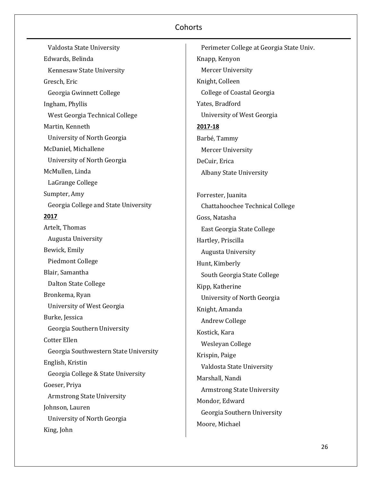Valdosta State University Edwards, Belinda Kennesaw State University Gresch, Eric Georgia Gwinnett College Ingham, Phyllis West Georgia Technical College Martin, Kenneth University of North Georgia McDaniel, Michallene University of North Georgia McMullen, Linda LaGrange College Sumpter, Amy Georgia College and State University **2017** Artelt, Thomas Augusta University Bewick, Emily Piedmont College Blair, Samantha Dalton State College Bronkema, Ryan University of West Georgia Burke, Jessica Georgia Southern University Cotter Ellen Georgia Southwestern State University English, Kristin Georgia College & State University Goeser, Priya Armstrong State University Johnson, Lauren University of North Georgia King, John

 Perimeter College at Georgia State Univ. Knapp, Kenyon Mercer University Knight, Colleen College of Coastal Georgia Yates, Bradford University of West Georgia **2017-18** Barbé, Tammy Mercer University DeCuir, Erica Albany State University Forrester, Juanita Chattahoochee Technical College Goss, Natasha East Georgia State College Hartley, Priscilla Augusta University Hunt, Kimberly South Georgia State College Kipp, Katherine University of North Georgia Knight, Amanda Andrew College Kostick, Kara Wesleyan College Krispin, Paige Valdosta State University Marshall, Nandi Armstrong State University Mondor, Edward Georgia Southern University Moore, Michael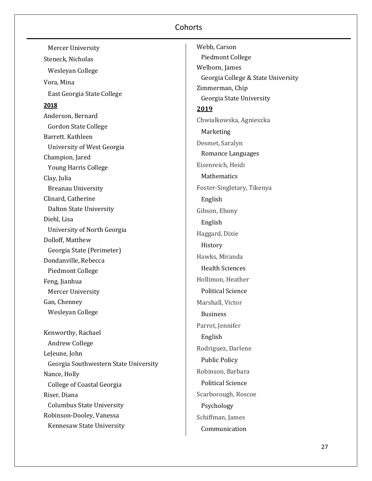| Mercer University                     |
|---------------------------------------|
| Steneck, Nicholas                     |
| Wesleyan College                      |
| Vora, Mina                            |
| East Georgia State College            |
| 2018                                  |
| Anderson, Bernard                     |
| <b>Gordon State College</b>           |
| Barrett, Kathleen                     |
| University of West Georgia            |
| Champion, Jared                       |
| <b>Young Harris College</b>           |
| Clay, Julia                           |
| <b>Breanau University</b>             |
| Clinard, Catherine                    |
| <b>Dalton State University</b>        |
| Diehl, Lisa                           |
| University of North Georgia           |
| Dolloff, Matthew                      |
| Georgia State (Perimeter)             |
| Dondanville, Rebecca                  |
| Piedmont College                      |
| Feng, Jianhua                         |
| Mercer University                     |
| Gan, Chenney                          |
| Wesleyan College                      |
| Kenworthy, Rachael                    |
| <b>Andrew College</b>                 |
| LeJeune, John                         |
| Georgia Southwestern State University |
| Nance, Holly                          |
| <b>College of Coastal Georgia</b>     |
| Riser, Diana                          |
| <b>Columbus State University</b>      |
| Robinson-Dooley, Vanessa              |
| Kennesaw State University             |

Webb, Carson Piedmont College Welborn, James Georgia College & State University Zimmerman, Chip Georgia State University **2019** Chwialkowska, Agnieszka Marketing Desmet, Saralyn Romance Languages Eisenreich, Heidi Mathematics Foster-Singletary, Tikenya English Gibson, Ebony English Haggard, Dixie History Hawks, Miranda Health Sciences Hollimon, Heather Political Science Marshall, Victor Business Parrot, Jennifer English Rodriguez, Darlene Public Policy Robinson, Barbara Political Science Scarborough, Roscoe Psychology Schiffman, James Communication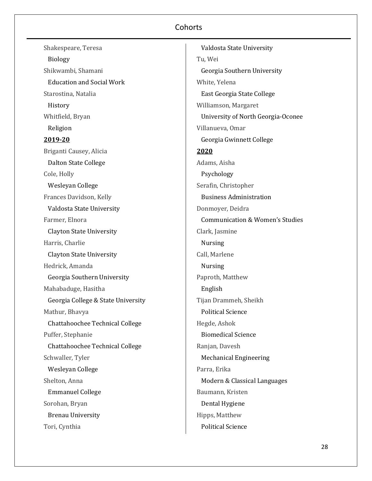Shakespeare, Teresa Biology Shikwambi, Shamani Education and Social Work Starostina, Natalia History Whitfield, Bryan Religion **2019-20** Briganti Causey, Alicia Dalton State College Cole, Holly Wesleyan College Frances Davidson, Kelly Valdosta State University Farmer, Elnora Clayton State University Harris, Charlie Clayton State University Hedrick, Amanda Georgia Southern University Mahabaduge, Hasitha Georgia College & State University Mathur, Bhavya Chattahoochee Technical College Puffer, Stephanie Chattahoochee Technical College Schwaller, Tyler Wesleyan College Shelton, Anna Emmanuel College Sorohan, Bryan Brenau University Tori, Cynthia

 Valdosta State University Tu, Wei Georgia Southern University White, Yelena East Georgia State College Williamson, Margaret University of North Georgia-Oconee Villanueva, Omar Georgia Gwinnett College **2020** Adams, Aisha Psychology Serafin, Christopher Business Administration Donmoyer, Deidra Communication & Women's Studies Clark, Jasmine Nursing Call, Marlene Nursing Paproth, Matthew English Tijan Drammeh, Sheikh Political Science Hegde, Ashok Biomedical Science Ranjan, Davesh Mechanical Engineering Parra, Erika Modern & Classical Languages Baumann, Kristen Dental Hygiene Hipps, Matthew Political Science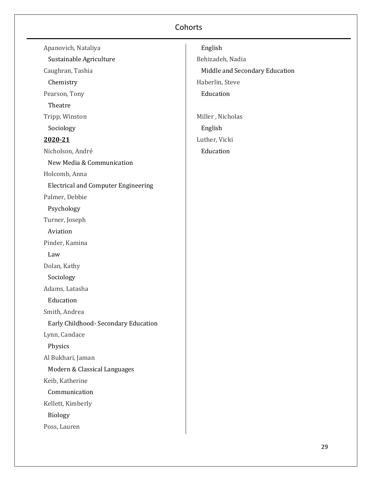| Apanovich, Nataliya                        |
|--------------------------------------------|
| Sustainable Agriculture                    |
| Caughran, Tashia                           |
| Chemistry                                  |
| Pearson, Tony                              |
| Theatre                                    |
| Tripp, Winston                             |
| Sociology                                  |
| <u>2020-21</u>                             |
| Nicholson, André                           |
| New Media & Communication                  |
| Holcomb, Anna                              |
| <b>Electrical and Computer Engineering</b> |
| Palmer, Debbie                             |
| Psychology                                 |
| Turner, Joseph                             |
| Aviation                                   |
| Pinder, Kamina                             |
| Law                                        |
| Dolan, Kathy                               |
| Sociology                                  |
| Adams, Latasha                             |
| Education                                  |
| Smith, Andrea                              |
| Early Childhood- Secondary Education       |
| Lynn, Candace                              |
| Physics                                    |
| Al Bukhari, Jaman                          |
| Modern & Classical Languages               |
| Keib, Katherine                            |
| Communication                              |
| Kellett, Kimberly                          |
| Biology                                    |
| Poss, Lauren                               |

 English Behizadeh, Nadia Middle and Secondary Education Haberlin, Steve Education Miller , Nicholas English

Luther, Vicki Education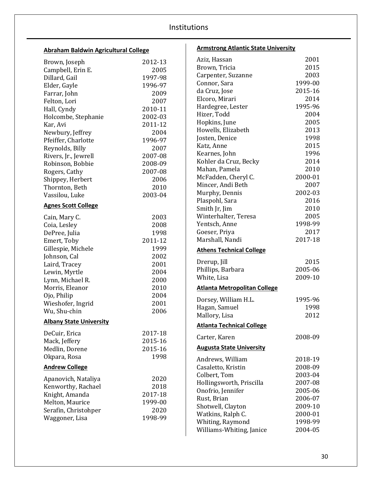| Abraham Baldwin Agricultural College |              | <b>Armstrong Atlantic State University</b> |         |
|--------------------------------------|--------------|--------------------------------------------|---------|
| Brown, Joseph                        | 2012-13      | Aziz, Hassan                               | 2001    |
| Campbell, Erin E.                    | 2005         | Brown, Tricia                              | 2015    |
| Dillard, Gail                        | 1997-98      | Carpenter, Suzanne                         | 2003    |
| Elder, Gayle                         | 1996-97      | Connor, Sara                               | 1999-00 |
| Farrar, John                         | 2009         | da Cruz, Jose                              | 2015-16 |
| Felton, Lori                         | 2007         | Elcoro, Mirari                             | 2014    |
| Hall, Cyndy                          | 2010-11      | Hardegree, Lester                          | 1995-96 |
| Holcombe, Stephanie                  | 2002-03      | Hizer, Todd                                | 2004    |
| Kar, Avi                             | 2011-12      | Hopkins, June                              | 2005    |
| Newbury, Jeffrey                     | 2004         | Howells, Elizabeth                         | 2013    |
| Pfeiffer, Charlotte                  | 1996-97      | Josten, Denice                             | 1998    |
| Reynolds, Billy                      | 2007         | Katz, Anne                                 | 2015    |
| Rivers, Jr., Jewrell                 | 2007-08      | Kearnes, John                              | 1996    |
| Robinson, Bobbie                     | 2008-09      | Kohler da Cruz, Becky                      | 2014    |
| Rogers, Cathy                        | 2007-08      | Mahan, Pamela                              | 2010    |
| Shippey, Herbert                     | 2006         | McFadden, Cheryl C.                        | 2000-01 |
| Thornton, Beth                       | 2010         | Mincer, Andi Beth                          | 2007    |
| Vassilou, Luke                       | 2003-04      | Murphy, Dennis                             | 2002-03 |
|                                      |              | Plaspohl, Sara                             | 2016    |
| <b>Agnes Scott College</b>           |              | Smith Jr, Jim                              | 2010    |
| Cain, Mary C.                        | 2003         | Winterhalter, Teresa                       | 2005    |
| Coia, Lesley                         | 2008         | Yentsch, Anne                              | 1998-99 |
| DePree, Julia                        | 1998         | Goeser, Priya                              | 2017    |
| Emert, Toby                          | 2011-12      | Marshall, Nandi                            | 2017-18 |
| Gillespie, Michele                   | 1999         | <b>Athens Technical College</b>            |         |
| Johnson, Cal                         | 2002         |                                            |         |
| Laird, Tracey                        | 2001         | Drerup, Jill                               | 2015    |
| Lewin, Myrtle                        | 2004         | Phillips, Barbara                          | 2005-06 |
| Lynn, Michael R.                     | 2000         | White, Lisa                                | 2009-10 |
| Morris, Eleanor                      | 2010         | <b>Atlanta Metropolitan College</b>        |         |
| Ojo, Philip                          | 2004         |                                            |         |
| Wieshofer, Ingrid                    | 2001         | Dorsey, William H.L.                       | 1995-96 |
| Wu, Shu-chin                         | 2006         | Hagan, Samuel                              | 1998    |
|                                      |              | Mallory, Lisa                              | 2012    |
| <b>Albany State University</b>       |              | <b>Atlanta Technical College</b>           |         |
| DeCuir, Erica                        | 2017-18      | Carter, Karen                              | 2008-09 |
| Mack, Jeffery                        | 2015-16      | <b>Augusta State University</b>            |         |
| Medlin, Dorene                       | 2015-16      |                                            |         |
| Okpara, Rosa                         | 1998         | Andrews, William                           | 2018-19 |
| <b>Andrew College</b>                |              | Casaletto, Kristin                         | 2008-09 |
|                                      |              | Colbert, Tom                               | 2003-04 |
| Apanovich, Nataliya                  | 2020<br>2018 | Hollingsworth, Priscilla                   | 2007-08 |
| Kenworthy, Rachael                   |              | Onofrio, Jennifer                          | 2005-06 |
| Knight, Amanda                       | 2017-18      | Rust, Brian                                | 2006-07 |
| Melton, Maurice                      | 1999-00      | Shotwell, Clayton                          | 2009-10 |
| Serafin, Christohper                 | 2020         | Watkins, Ralph C.                          | 2000-01 |
| Waggoner, Lisa                       | 1998-99      | Whiting, Raymond                           | 1998-99 |
|                                      |              | Williams-Whiting, Janice                   | 2004-05 |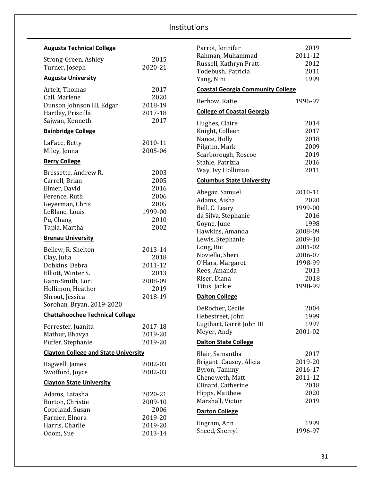| <b>Augusta Technical College</b>             |                 | Parrot, Jennifer                           | 2019            |
|----------------------------------------------|-----------------|--------------------------------------------|-----------------|
| Strong-Green, Ashley                         | 2015            | Rahman, Muhammad<br>Russell, Kathryn Pratt | 2011-12<br>2012 |
| Turner, Joseph                               | 2020-21         | Todebush, Patricia                         | 2011            |
| <b>Augusta University</b>                    |                 | Yang, Nini                                 | 1999            |
| Artelt, Thomas                               | 2017            | <b>Coastal Georgia Community College</b>   |                 |
| Call, Marlene                                | 2020            | Berhow, Katie                              | 1996-97         |
| Dunson Johnson III, Edgar                    | 2018-19         | <b>College of Coastal Georgia</b>          |                 |
| Hartley, Priscilla<br>Sajwan, Kenneth        | 2017-18<br>2017 |                                            |                 |
|                                              |                 | Hughes, Claire                             | 2014<br>2017    |
| <b>Bainbridge College</b>                    |                 | Knight, Colleen<br>Nance, Holly            | 2018            |
| LaFace, Betty                                | 2010-11         | Pilgrim, Mark                              | 2009            |
| Miley, Jenna                                 | 2005-06         | Scarborough, Roscoe                        | 2019            |
| <b>Berry College</b>                         |                 | Stahle, Patrizia                           | 2016            |
| Bressette, Andrew R.                         | 2003            | Way, Ivy Holliman                          | 2011            |
| Carroll, Brian                               | 2005            | <b>Columbus State University</b>           |                 |
| Elmer, David                                 | 2016            |                                            | 2010-11         |
| Ference, Ruth                                | 2006            | Abegaz, Samuel<br>Adams, Aisha             | 2020            |
| Geyerman, Chris                              | 2005            | Bell, C. Leary                             | 1999-00         |
| LeBlanc, Louis                               | 1999-00         | da Silva, Stephanie                        | 2016            |
| Pu, Chang                                    | 2010            | Goyne, June                                | 1998            |
| Tapia, Martha                                | 2002            | Hawkins, Amanda                            | 2008-09         |
| <b>Brenau University</b>                     |                 | Lewis, Stephanie                           | 2009-10         |
| Bellew, R. Shelton                           | 2013-14         | Long, Ric                                  | 2001-02         |
| Clay, Julia                                  | 2018            | Noviello, Sheri                            | 2006-07         |
| Dobkins, Debra                               | 2011-12         | O'Hara, Margaret                           | 1998-99         |
| Elliott, Winter S.                           | 2013            | Rees, Amanda                               | 2013<br>2018    |
| Gann-Smith, Lori                             | 2008-09         | Riser, Diana<br>Titus, Jackie              | 1998-99         |
| Hollimon, Heather                            | 2019            |                                            |                 |
| Shrout, Jessica<br>Sorohan, Bryan, 2019-2020 | 2018-19         | <b>Dalton College</b>                      |                 |
|                                              |                 | DeRocher, Cecile                           | 2004            |
| <b>Chattahoochee Technical College</b>       |                 | Hebestreet, John                           | 1999            |
| Forrester, Juanita                           | 2017-18         | Lugthart, Garrit John III                  | 1997            |
| Mathur, Bhavya                               | 2019-20         | Meyer, Andy                                | 2001-02         |
| Puffer, Stephanie                            | 2019-20         | <b>Dalton State College</b>                |                 |
| <b>Clayton College and State University</b>  |                 | Blair, Samantha                            | 2017            |
| Bagwell, James                               | 2002-03         | Briganti Causey, Alicia                    | 2019-20         |
| Swofford, Joyce                              | 2002-03         | Byron, Tammy                               | 2016-17         |
| <b>Clayton State University</b>              |                 | Chenoweth, Matt                            | 2011-12         |
|                                              |                 | Clinard, Catherine                         | 2018            |
| Adams, Latasha                               | 2020-21         | Hipps, Matthew<br>Marshall, Victor         | 2020<br>2019    |
| Burton, Christie<br>Copeland, Susan          | 2009-10<br>2006 |                                            |                 |
| Farmer, Elnora                               | 2019-20         | <b>Darton College</b>                      |                 |
| Harris, Charlie                              | 2019-20         | Engram, Ann                                | 1999            |
| Odom, Sue                                    | 2013-14         | Sneed, Sherryl                             | 1996-97         |
|                                              |                 |                                            |                 |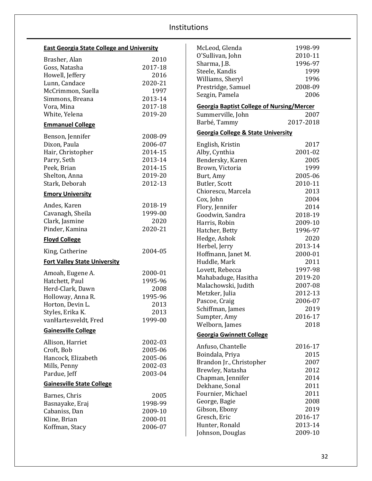| <b>East Georgia State College and University</b> |         | McLeod, Glenda                                   | 1998-99   |
|--------------------------------------------------|---------|--------------------------------------------------|-----------|
| Brasher, Alan                                    | 2010    | O'Sullivan, John                                 | 2010-11   |
| Goss, Natasha                                    | 2017-18 | Sharma, J.B.                                     | 1996-97   |
| Howell, Jeffery                                  | 2016    | Steele, Kandis                                   | 1999      |
| Lunn, Candace                                    | 2020-21 | Williams, Sheryl                                 | 1996      |
| McCrimmon, Suella                                | 1997    | Prestridge, Samuel                               | 2008-09   |
| Simmons, Breana                                  | 2013-14 | Sezgin, Pamela                                   | 2006      |
|                                                  | 2017-18 | <b>Georgia Baptist College of Nursing/Mercer</b> |           |
| Vora, Mina                                       |         |                                                  |           |
| White, Yelena                                    | 2019-20 | Summerville, John                                | 2007      |
| <b>Emmanuel College</b>                          |         | Barbé, Tammy                                     | 2017-2018 |
| Benson, Jennifer                                 | 2008-09 | <b>Georgia College &amp; State University</b>    |           |
| Dixon, Paula                                     | 2006-07 | English, Kristin                                 | 2017      |
| Hair, Christopher                                | 2014-15 | Alby, Cynthia                                    | 2001-02   |
| Parry, Seth                                      | 2013-14 | Bendersky, Karen                                 | 2005      |
| Peek, Brian                                      | 2014-15 | Brown, Victoria                                  | 1999      |
| Shelton, Anna                                    | 2019-20 | Burt, Amy                                        | 2005-06   |
| Stark, Deborah                                   | 2012-13 | Butler, Scott                                    | 2010-11   |
| <b>Emory University</b>                          |         | Chiorescu, Marcela                               | 2013      |
|                                                  |         | Cox, John                                        | 2004      |
| Andes, Karen                                     | 2018-19 | Flory, Jennifer                                  | 2014      |
| Cavanagh, Sheila                                 | 1999-00 | Goodwin, Sandra                                  | 2018-19   |
| Clark, Jasmine                                   | 2020    | Harris, Robin                                    | 2009-10   |
| Pinder, Kamina                                   | 2020-21 | Hatcher, Betty                                   | 1996-97   |
| <b>Floyd College</b>                             |         | Hedge, Ashok                                     | 2020      |
|                                                  |         | Herbel, Jerry                                    | 2013-14   |
| King, Catherine                                  | 2004-05 | Hoffmann, Janet M.                               | 2000-01   |
| <b>Fort Valley State University</b>              |         | Huddle, Mark                                     | 2011      |
|                                                  |         | Lovett, Rebecca                                  | 1997-98   |
| Amoah, Eugene A.                                 | 2000-01 | Mahabaduge, Hasitha                              | 2019-20   |
| Hatchett, Paul                                   | 1995-96 | Malachowski, Judith                              | 2007-08   |
| Herd-Clark, Dawn                                 | 2008    | Metzker, Julia                                   | 2012-13   |
| Holloway, Anna R.                                | 1995-96 | Pascoe, Craig                                    | 2006-07   |
| Horton, Devin L.                                 | 2013    | Schiffman, James                                 | 2019      |
| Styles, Erika K.                                 | 2013    | Sumpter, Amy                                     | 2016-17   |
| vanHartesveldt, Fred                             | 1999-00 | Welborn, James                                   | 2018      |
| <b>Gainesville College</b>                       |         | <b>Georgia Gwinnett College</b>                  |           |
| Allison, Harriet                                 | 2002-03 |                                                  |           |
| Croft, Bob                                       | 2005-06 | Anfuso, Chantelle                                | 2016-17   |
| Hancock, Elizabeth                               | 2005-06 | Boindala, Priya                                  | 2015      |
| Mills, Penny                                     | 2002-03 | Brandon Jr., Christopher                         | 2007      |
| Pardue, Jeff                                     | 2003-04 | Brewley, Natasha                                 | 2012      |
|                                                  |         | Chapman, Jennifer                                | 2014      |
| <b>Gainesville State College</b>                 |         | Dekhane, Sonal                                   | 2011      |
| Barnes, Chris                                    | 2005    | Fournier, Michael                                | 2011      |
| Basnayake, Eraj                                  | 1998-99 | George, Bagie                                    | 2008      |
| Cabaniss, Dan                                    | 2009-10 | Gibson, Ebony                                    | 2019      |
| Kline, Brian                                     | 2000-01 | Gresch, Eric                                     | 2016-17   |
| Koffman, Stacy                                   | 2006-07 | Hunter, Ronald                                   | 2013-14   |
|                                                  |         | Johnson, Douglas                                 | 2009-10   |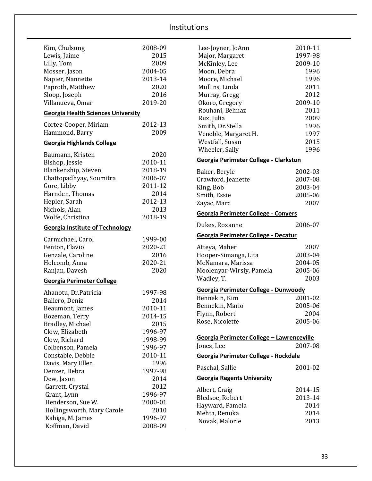| Kim, Chulsung                             | 2008-09 |
|-------------------------------------------|---------|
| Lewis, Jaime                              | 2015    |
| Lilly, Tom                                | 2009    |
| Mosser, Jason                             | 2004-05 |
| Napier, Nannette                          | 2013-14 |
| Paproth, Matthew                          | 2020    |
| Sloop, Joseph                             | 2016    |
| Villanueva, Omar                          | 2019-20 |
| <b>Georgia Health Sciences University</b> |         |
| Cortez-Cooper, Miriam                     | 2012-13 |
| Hammond, Barry                            | 2009    |
| <b>Georgia Highlands College</b>          |         |
| Baumann, Kristen                          | 2020    |
| Bishop, Jessie                            | 2010-11 |
| Blankenship, Steven                       | 2018-19 |
| Chattopadhyay, Soumitra                   | 2006-07 |
| Gore, Libby                               | 2011-12 |
| Harnden, Thomas                           | 2014    |
| Hepler, Sarah                             | 2012-13 |
| Nichols, Alan                             | 2013    |
| Wolfe, Christina                          | 2018-19 |
| <b>Georgia Institute of Technology</b>    |         |
|                                           |         |
|                                           |         |
| Carmichael, Carol                         | 1999-00 |
| Fenton, Flavio                            | 2020-21 |
| Genzale, Caroline                         | 2016    |
| Holcomb, Anna                             | 2020-21 |
| Ranjan, Davesh                            | 2020    |
| <b>Georgia Perimeter College</b>          |         |
| Ahanotu, Dr.Patricia                      | 1997-98 |
| Ballero, Deniz                            | 2014    |
| Beaumont, James                           | 2010-11 |
| Bozeman, Terry                            | 2014-15 |
| Bradley, Michael                          | 2015    |
| Clow, Elizabeth                           | 1996-97 |
| Clow, Richard                             | 1998-99 |
| Colbenson, Pamela                         | 1996-97 |
| Constable, Debbie                         | 2010-11 |
| Davis, Mary Ellen                         | 1996    |
| Denzer, Debra                             | 1997-98 |
| Dew, Jason                                | 2014    |
| Garrett, Crystal                          | 2012    |
| Grant, Lynn                               | 1996-97 |
| Henderson, Sue W.                         | 2000-01 |
| Hollingsworth, Mary Carole                | 2010    |
| Kahiga, M. James                          | 1996-97 |

| Lee-Joyner, JoAnn                         | 2010-11 |
|-------------------------------------------|---------|
| Major, Margaret                           | 1997-98 |
| McKinley, Lee                             | 2009-10 |
| Moon, Debra                               | 1996    |
| Moore, Michael                            | 1996    |
| Mullins, Linda                            | 2011    |
| Murray, Gregg                             | 2012    |
| Okoro, Gregory                            | 2009-10 |
| Rouhani, Behnaz                           | 2011    |
| Rux, Julia                                | 2009    |
| Smith, Dr.Stella                          | 1996    |
| Veneble, Margaret H.                      | 1997    |
| Westfall, Susan                           | 2015    |
| Wheeler, Sally                            | 1996    |
|                                           |         |
| Georgia Perimeter College - Clarkston     |         |
| Baker, Beryle                             | 2002-03 |
| Crawford, Jeanette                        | 2007-08 |
| King, Bob                                 | 2003-04 |
| Smith, Essie                              | 2005-06 |
| Zayac, Marc                               | 2007    |
| Georgia Perimeter College - Conyers       |         |
| Dukes, Roxanne                            | 2006-07 |
| Georgia Perimeter College - Decatur       |         |
| Atteya, Maher                             | 2007    |
| Hooper-Simanga, Lita                      | 2003-04 |
| McNamara, Marissa                         | 2004-05 |
| Moolenyar-Wirsiy, Pamela                  | 2005-06 |
| Wadley, T.                                | 2003    |
|                                           |         |
| Georgia Perimeter College - Dunwoody      | 2001-02 |
| Bennekin, Kim                             | 2005-06 |
| Bennekin, Mario                           | 2004    |
| Flynn, Robert                             | 2005-06 |
| Rose, Nicolette                           |         |
| Georgia Perimeter College - Lawrenceville |         |
| Jones, Lee                                | 2007-08 |
| Georgia Perimeter College - Rockdale      |         |
|                                           |         |
| Paschal, Sallie                           | 2001-02 |
|                                           |         |
| <b>Georgia Regents University</b>         |         |
| Albert, Craig                             | 2014-15 |
| Bledsoe, Robert                           | 2013-14 |
| Hayward, Pamela                           | 2014    |
| Mehta, Renuka                             | 2014    |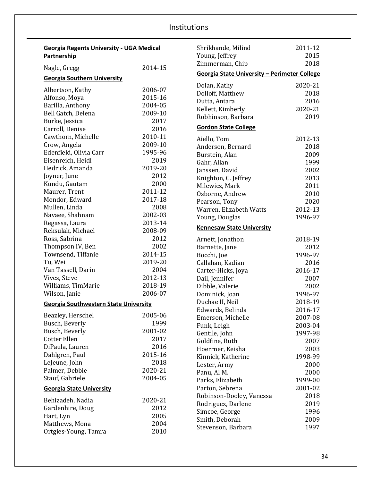| <b>Georgia Regents University - UGA Medical</b><br>Partnership |         |  |
|----------------------------------------------------------------|---------|--|
| Nagle, Gregg                                                   | 2014-15 |  |
| <b>Georgia Southern University</b>                             |         |  |
| Albertson, Kathy                                               | 2006-07 |  |
| Alfonso, Moya                                                  | 2015-16 |  |
| Barilla, Anthony                                               | 2004-05 |  |
| Bell Gatch, Delena                                             | 2009-10 |  |
| Burke, Jessica                                                 | 2017    |  |
| Carroll, Denise                                                | 2016    |  |
| Cawthorn, Michelle                                             | 2010-11 |  |
| Crow, Angela                                                   | 2009-10 |  |
| Edenfield, Olivia Carr                                         | 1995-96 |  |
|                                                                |         |  |
| Eisenreich, Heidi                                              | 2019    |  |
| Hedrick, Amanda                                                | 2019-20 |  |
| Joyner, June                                                   | 2012    |  |
| Kundu, Gautam                                                  | 2000    |  |
| Maurer, Trent                                                  | 2011-12 |  |
| Mondor, Edward                                                 | 2017-18 |  |
| Mullen, Linda                                                  | 2008    |  |
| Navaee, Shahnam                                                | 2002-03 |  |
| Regassa, Laura                                                 | 2013-14 |  |
| Reksulak, Michael                                              | 2008-09 |  |
| Ross, Sabrina                                                  | 2012    |  |
| Thompson IV, Ben                                               | 2002    |  |
| Townsend, Tiffanie                                             | 2014-15 |  |
| Tu, Wei                                                        | 2019-20 |  |
| Van Tassell, Darin                                             | 2004    |  |
| Vives, Steve                                                   | 2012-13 |  |
| Williams, TimMarie                                             | 2018-19 |  |
| Wilson, Janie                                                  | 2006-07 |  |
| <b>Georgia Southwestern State University</b>                   |         |  |
| Beazley, Herschel                                              | 2005-06 |  |
| Busch, Beverly                                                 | 1999    |  |
| Busch, Beverly                                                 | 2001-02 |  |
| Cotter Ellen                                                   | 2017    |  |
| DiPaula, Lauren                                                | 2016    |  |
| Dahlgren, Paul                                                 | 2015-16 |  |
| LeJeune, John                                                  | 2018    |  |
| Palmer, Debbie                                                 | 2020-21 |  |
| Stauf, Gabriele                                                | 2004-05 |  |
|                                                                |         |  |
| <b>Georgia State University</b>                                |         |  |
| Behizadeh, Nadia                                               | 2020-21 |  |
| Gardenhire, Doug                                               | 2012    |  |
| Hart, Lyn                                                      | 2005    |  |
| Matthews, Mona                                                 | 2004    |  |
| Ortgies-Young, Tamra                                           | 2010    |  |

| Shrikhande, Milind                           | 2011-12         |  |  |
|----------------------------------------------|-----------------|--|--|
| Young, Jeffrey                               | 2015            |  |  |
| Zimmerman, Chip                              | 2018            |  |  |
| Georgia State University - Perimeter College |                 |  |  |
| Dolan, Kathy                                 | 2020-21         |  |  |
| Dolloff, Matthew                             | 2018            |  |  |
| Dutta, Antara                                | 2016            |  |  |
| Kellett, Kimberly                            | 2020-21         |  |  |
| Robhinson, Barbara                           | 2019            |  |  |
| <b>Gordon State College</b>                  |                 |  |  |
| Aiello, Tom                                  | 2012-13         |  |  |
| Anderson, Bernard                            | 2018            |  |  |
| Burstein, Alan                               | 2009            |  |  |
| Gahr, Allan                                  | 1999            |  |  |
| Janssen, David                               | 2002            |  |  |
| Knighton, C. Jeffrey                         | 2013            |  |  |
| Milewicz, Mark                               | 2011            |  |  |
| Osborne, Andrew                              | 2010            |  |  |
| Pearson, Tony                                | 2020            |  |  |
| Warren, Elizabeth Watts                      | 2012-13         |  |  |
| Young, Douglas                               | 1996-97         |  |  |
| <b>Kennesaw State University</b>             |                 |  |  |
|                                              |                 |  |  |
|                                              |                 |  |  |
| Arnett, Jonathon                             | 2018-19         |  |  |
| Barnette, Jane                               | 2012            |  |  |
| Bocchi, Joe                                  | 1996-97         |  |  |
| Callahan, Kadian                             | 2016            |  |  |
| Carter-Hicks, Joya                           | 2016-17         |  |  |
| Dail, Jennifer                               | 2007            |  |  |
| Dibble, Valerie                              | 2002            |  |  |
| Dominick, Joan                               | 1996-97         |  |  |
| Duchae II, Neil                              | 2018-19         |  |  |
| Edwards, Belinda                             | 2016-17         |  |  |
| Emerson, Michelle                            | 2007-08         |  |  |
| Funk, Leigh                                  | 2003-04         |  |  |
| Gentile, John                                | 1997-98         |  |  |
| Goldfine, Ruth                               | 2007<br>2003    |  |  |
| Hoerrner, Keisha                             |                 |  |  |
| Kinnick, Katherine                           | 1998-99<br>2000 |  |  |
| Lester, Army                                 | 2000            |  |  |
| Panu, Al M.<br>Parks, Elizabeth              | 1999-00         |  |  |
| Parton, Sebrena                              | 2001-02         |  |  |
| Robinson-Dooley, Vanessa                     | 2018            |  |  |
| Rodriguez, Darlene                           | 2019            |  |  |
| Simcoe, George                               | 1996            |  |  |
| Smith, Deborah                               | 2009            |  |  |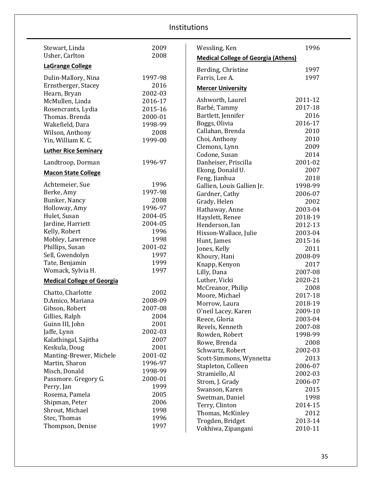| Stewart, Linda                           | 2009         | Wessling, Ken                              | 1996    |
|------------------------------------------|--------------|--------------------------------------------|---------|
| Usher, Carlton                           | 2008         | <b>Medical College of Georgia (Athens)</b> |         |
| <b>LaGrange College</b>                  |              | Berding, Christine                         | 1997    |
| Dulin-Mallory, Nina                      | 1997-98      | Farris, Lee A.                             | 1997    |
| Ernstberger, Stacey                      | 2016         | <b>Mercer University</b>                   |         |
| Hearn, Bryan                             | 2002-03      |                                            |         |
| McMullen, Linda                          | 2016-17      | Ashworth, Laurel                           | 2011-12 |
| Rosencrants, Lydia                       | 2015-16      | Barbé, Tammy                               | 2017-18 |
| Thomas. Brenda                           | 2000-01      | Bartlett, Jennifer                         | 2016    |
| Wakefield, Dara                          | 1998-99      | Boggs, Olivia                              | 2016-17 |
| Wilson, Anthony                          | 2008         | Callahan, Brenda                           | 2010    |
| Yin, William K. C.                       | 1999-00      | Choi, Anthony                              | 2010    |
| <b>Luther Rice Seminary</b>              |              | Clemons, Lynn                              | 2009    |
|                                          |              | Codone, Susan                              | 2014    |
| Landtroop, Dorman                        | 1996-97      | Danheiser, Priscilla                       | 2001-02 |
| <b>Macon State College</b>               |              | Ekong, Donald U.                           | 2007    |
|                                          |              | Feng, Jianhua                              | 2018    |
| Achtemeier, Sue                          | 1996         | Gallien, Louis Gallien Jr.                 | 1998-99 |
| Berke, Amy                               | 1997-98      | Gardner, Cathy                             | 2006-07 |
| Bunker, Nancy                            | 2008         | Grady, Helen                               | 2002    |
| Holloway, Amy                            | 1996-97      | Hathaway, Anne                             | 2003-04 |
| Hulet, Susan                             | 2004-05      | Hayslett, Renee                            | 2018-19 |
| Jardine, Harriett                        | 2004-05      | Henderson, Ian                             | 2012-13 |
| Kelly, Robert                            | 1996         | Hixson-Wallace, Julie                      | 2003-04 |
| Mobley, Lawrence                         | 1998         | Hunt, James                                | 2015-16 |
| Phillips, Susan                          | 2001-02      | Jones, Kelly                               | 2011    |
| Sell, Gwendolyn                          | 1997         | Khoury, Hani                               | 2008-09 |
| Tate, Benjamin                           | 1999         | Knapp, Kenyon                              | 2017    |
| Womack, Sylvia H.                        | 1997         | Lilly, Dana                                | 2007-08 |
| <b>Medical College of Georgia</b>        |              | Luther, Vicki                              | 2020-21 |
|                                          | 2002         | McCreanor, Philip                          | 2008    |
| Chatto, Charlotte<br>D.Amico, Mariana    | 2008-09      | Moore, Michael                             | 2017-18 |
|                                          | 2007-08      | Morrow, Laura                              | 2018-19 |
| Gibson, Robert                           | 2004         | O'neil Lacey, Karen                        | 2009-10 |
| Gillies, Ralph                           | 2001         | Reece, Gloria                              | 2003-04 |
| Guinn III, John                          | 2002-03      | Revels, Kenneth                            | 2007-08 |
| Jaffe, Lynn                              | 2007         | Rowden, Robert                             | 1998-99 |
| Kalathingal, Sajitha                     | 2001         | Rowe, Brenda                               | 2008    |
| Keskula, Doug<br>Manting-Brewer, Michele | 2001-02      | Schwartz, Robert                           | 2002-03 |
| Martin, Sharon                           | 1996-97      | Scott-Simmons, Wynnetta                    | 2013    |
| Misch, Donald                            | 1998-99      | Stapleton, Colleen                         | 2006-07 |
|                                          | 2000-01      | Stramiello, Al                             | 2002-03 |
| Passmore. Gregory G.                     |              | Strom, J. Grady                            | 2006-07 |
| Perry, Jan                               | 1999<br>2005 | Swanson, Karen                             | 2015    |
| Rosema, Pamela                           | 2006         | Swetman, Daniel                            | 1998    |
| Shipman, Peter                           | 1998         | Terry, Clinton                             | 2014-15 |
| Shrout, Michael                          | 1996         | Thomas, McKinley                           | 2012    |
| Stec, Thomas                             | 1997         | Trogden, Bridget                           | 2013-14 |
| Thompson, Denise                         |              | Vokhiwa, Zipangani                         | 2010-11 |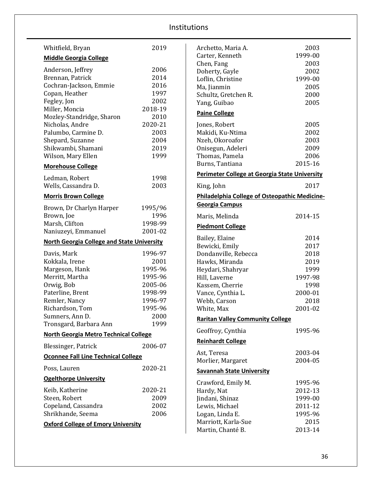| Whitfield, Bryan                                                                                                                                                                                                                                          | 2019                                                                                               |
|-----------------------------------------------------------------------------------------------------------------------------------------------------------------------------------------------------------------------------------------------------------|----------------------------------------------------------------------------------------------------|
| <b>Middle Georgia College</b>                                                                                                                                                                                                                             |                                                                                                    |
| Anderson, Jeffrey<br>Brennan, Patrick<br>Cochran-Jackson, Emmie<br>Copan, Heather<br>Fegley, Jon<br>Miller, Moncia<br>Mozley-Standridge, Sharon<br>Nicholas, Andre<br>Palumbo, Carmine D.<br>Shepard, Suzanne<br>Shikwambi, Shamani<br>Wilson, Mary Ellen | 2006<br>2014<br>2016<br>1997<br>2002<br>2018-19<br>2010<br>2020-21<br>2003<br>2004<br>2019<br>1999 |
| <b>Morehouse College</b>                                                                                                                                                                                                                                  |                                                                                                    |
| Ledman, Robert<br>Wells, Cassandra D.                                                                                                                                                                                                                     | 1998<br>2003                                                                                       |
| <b>Morris Brown College</b>                                                                                                                                                                                                                               |                                                                                                    |
| Brown, Dr Charlyn Harper<br>Brown, Joe<br>Marsh, Clifton<br>Naniuzeyi, Emmanuel                                                                                                                                                                           | 1995/96<br>1996<br>1998-99<br>2001-02                                                              |
| <b>North Georgia College and State University</b>                                                                                                                                                                                                         |                                                                                                    |
| Davis, Mark<br>Kokkala, Irene<br>Margeson, Hank<br>Merritt, Martha<br>Orwig, Bob<br>Paterline, Brent<br>Remler, Nancy<br>Richardson, Tom<br>Sumners, Ann D.<br>Tronsgard, Barbara Ann                                                                     | 1996-97<br>2001<br>1995-96<br>1995-96<br>2005-06<br>1998-99<br>1996-97<br>1995-96<br>2000<br>1999  |
| <b>North Georgia Metro Technical College</b>                                                                                                                                                                                                              |                                                                                                    |
| Blessinger, Patrick                                                                                                                                                                                                                                       | 2006-07                                                                                            |
| <b>Oconnee Fall Line Technical College</b>                                                                                                                                                                                                                |                                                                                                    |
| Poss, Lauren                                                                                                                                                                                                                                              | 2020-21                                                                                            |
| <b>Ogelthorpe University</b>                                                                                                                                                                                                                              |                                                                                                    |
| Keib, Katherine<br>Steen, Robert<br>Copeland, Cassandra<br>Shrikhande, Seema<br><b>Oxford College of Emory University</b>                                                                                                                                 | 2020-21<br>2009<br>2002<br>2006                                                                    |
|                                                                                                                                                                                                                                                           |                                                                                                    |

| Archetto, Maria A.                                   | 2003    |
|------------------------------------------------------|---------|
| Carter, Kenneth                                      | 1999-00 |
| Chen, Fang                                           | 2003    |
| Doherty, Gayle                                       | 2002    |
| Loflin, Christine                                    | 1999-00 |
| Ma, Jianmin                                          | 2005    |
| Schultz, Gretchen R.                                 | 2000    |
| Yang, Guibao                                         | 2005    |
| <b>Paine College</b>                                 |         |
| Jones, Robert                                        | 2005    |
| Makidi, Ku-Ntima                                     | 2002    |
| Nzeh, Okoroafor                                      | 2003    |
| Onisegun, Adeleri                                    | 2009    |
| Thomas, Pamela                                       | 2006    |
| Burns, Tantiana                                      | 2015-16 |
| <b>Perimeter College at Georgia State University</b> |         |
| King, John                                           | 2017    |
| <b>Philadelphia College of Osteopathic Medicine-</b> |         |
| <b>Georgia Campus</b>                                |         |
| Maris, Melinda                                       | 2014-15 |
| <b>Piedmont College</b>                              |         |
| Bailey, Elaine                                       | 2014    |
| Bewicki, Emily                                       | 2017    |
| Dondanville, Rebecca                                 | 2018    |
| Hawks, Miranda                                       | 2019    |
| Heydari, Shahryar                                    | 1999    |
| Hill, Laverne                                        | 1997-98 |
| Kassem, Cherrie                                      | 1998    |
| Vance, Cynthia L.                                    | 2000-01 |
| Webb, Carson                                         | 2018    |
| White, Max                                           | 2001-02 |
| <b>Raritan Valley Community College</b>              |         |
| Geoffroy, Cynthia                                    | 1995-96 |
| <b>Reinhardt College</b>                             |         |
| Ast, Teresa                                          | 2003-04 |
| Morlier, Margaret                                    | 2004-05 |
| <b>Savannah State University</b>                     |         |
| Crawford, Emily M.                                   | 1995-96 |
| Hardy, Nat                                           | 2012-13 |
| Jindani, Shinaz                                      | 1999-00 |
| Lewis, Michael                                       | 2011-12 |
| Logan, Linda E.                                      | 1995-96 |
| Marriott, Karla-Sue                                  | 2015    |
| Martin, Chanté B.                                    | 2013-14 |
|                                                      |         |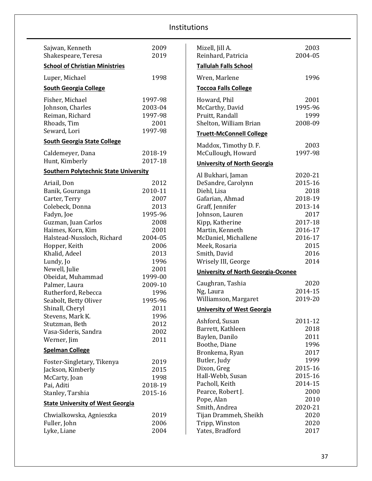| Sajwan, Kenneth<br>Shakespeare, Teresa       | 2009<br>2019 | Mizell, Jill A.<br>Reinhard, Patricia     | 2003<br>2004-05 |
|----------------------------------------------|--------------|-------------------------------------------|-----------------|
| <b>School of Christian Ministries</b>        |              | <b>Tallulah Falls School</b>              |                 |
| Luper, Michael                               | 1998         | Wren, Marlene                             | 1996            |
| <b>South Georgia College</b>                 |              | <b>Toccoa Falls College</b>               |                 |
| Fisher, Michael                              | 1997-98      | Howard, Phil                              | 2001            |
| Johnson, Charles                             | 2003-04      | McCarthy, David                           | 1995-96         |
| Reiman, Richard                              | 1997-98      | Pruitt, Randall                           | 1999            |
| Rhoads, Tim                                  | 2001         | Shelton, William Brian                    | 2008-09         |
| Seward, Lori                                 | 1997-98      | <b>Truett-McConnell College</b>           |                 |
| <b>South Georgia State College</b>           |              | Maddox, Timothy D.F.                      | 2003            |
| Caldemeyer, Dana                             | 2018-19      | McCullough, Howard                        | 1997-98         |
| Hunt, Kimberly                               | 2017-18      | <b>University of North Georgia</b>        |                 |
| <b>Southern Polytechnic State University</b> |              |                                           | 2020-21         |
|                                              | 2012         | Al Bukhari, Jaman                         | 2015-16         |
| Ariail, Don<br>Banik, Gouranga               | 2010-11      | DeSandre, Carolynn<br>Diehl, Lisa         | 2018            |
| Carter, Terry                                | 2007         | Gafarian, Ahmad                           | 2018-19         |
| Colebeck, Donna                              | 2013         | Graff, Jennifer                           | 2013-14         |
| Fadyn, Joe                                   | 1995-96      | Johnson, Lauren                           | 2017            |
| Guzman, Juan Carlos                          | 2008         | Kipp, Katherine                           | 2017-18         |
| Haimes, Korn, Kim                            | 2001         | Martin, Kenneth                           | 2016-17         |
| Halstead-Nussloch, Richard                   | 2004-05      | McDaniel, Michallene                      | 2016-17         |
| Hopper, Keith                                | 2006         | Meek, Rosaria                             | 2015            |
| Khalid, Adeel                                | 2013         | Smith, David                              | 2016            |
| Lundy, Jo                                    | 1996         | Wrisely III, George                       | 2014            |
| Newell, Julie                                | 2001         |                                           |                 |
| Obeidat, Muhammad                            | 1999-00      | <b>University of North Georgia-Oconee</b> |                 |
| Palmer, Laura                                | 2009-10      | Caughran, Tashia                          | 2020            |
| Rutherford, Rebecca                          | 1996         | Ng, Laura                                 | 2014-15         |
| Seabolt, Betty Oliver                        | 1995-96      | Williamson, Margaret                      | 2019-20         |
| Shinall, Cheryl                              | 2011         | <b>University of West Georgia</b>         |                 |
| Stevens, Mark K.                             | 1996         |                                           |                 |
| Stutzman, Beth                               | 2012         | Ashford, Susan                            | 2011-12         |
| Vasa-Sideris, Sandra                         | 2002         | Barrett, Kathleen                         | 2018            |
| Werner, Jim                                  | 2011         | Baylen, Danilo                            | 2011<br>1996    |
| <b>Spelman College</b>                       |              | Boothe, Diane<br>Bronkema, Ryan           | 2017            |
|                                              |              | Butler, Judy                              | 1999            |
| Foster-Singletary, Tikenya                   | 2019         | Dixon, Greg                               | 2015-16         |
| Jackson, Kimberly                            | 2015         | Hall-Webb, Susan                          | 2015-16         |
| McCarty, Joan                                | 1998         | Pacholl, Keith                            | 2014-15         |
| Pai, Aditi                                   | 2018-19      | Pearce, Robert J.                         | 2000            |
| Stanley, Tarshia                             | 2015-16      | Pope, Alan                                | 2010            |
| <b>State University of West Georgia</b>      |              | Smith, Andrea                             | 2020-21         |
| Chwialkowska, Agnieszka                      | 2019         | Tijan Drammeh, Sheikh                     | 2020            |
| Fuller, John                                 | 2006         | Tripp, Winston                            | 2020            |
| Lyke, Liane                                  | 2004         | Yates, Bradford                           | 2017            |
|                                              |              |                                           |                 |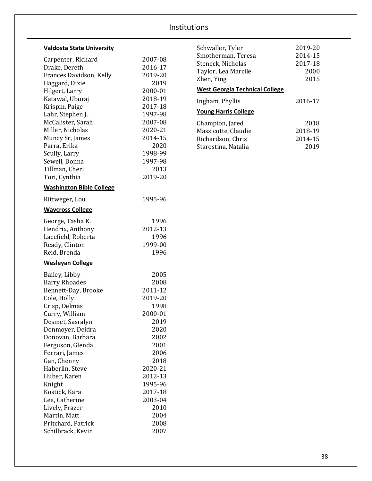# **Valdosta State University**

| Carpenter, Richard<br>Drake, Dereth<br>Frances Davidson, Kelly<br>Haggard, Dixie | 2007-08<br>2016-17<br>2019-20<br>2019 |
|----------------------------------------------------------------------------------|---------------------------------------|
| Hilgert, Larry                                                                   | 2000-01                               |
| Katawal, Uburaj                                                                  | 2018-19                               |
| Krispin, Paige                                                                   | 2017-18                               |
| Lahr, Stephen J.                                                                 | 1997-98                               |
| McCalister, Sarah                                                                | 2007-08                               |
| Miller, Nicholas                                                                 | 2020-21                               |
| Muncy Sr, James                                                                  | 2014-15                               |
| Parra, Erika                                                                     | 2020                                  |
| Scully, Larry                                                                    | 1998-99                               |
| Sewell, Donna                                                                    | 1997-98                               |
| Tillman, Cheri                                                                   | 2013                                  |
| Tori, Cynthia                                                                    | 2019-20                               |
| <b>Washington Bible College</b>                                                  |                                       |
| Rittweger, Lou                                                                   | 1995-96                               |
| <b>Waycross College</b>                                                          |                                       |
| George, Tasha K.                                                                 | 1996                                  |
| Hendrix, Anthony                                                                 | 2012-13                               |
| Lacefield, Roberta                                                               | 1996                                  |
| Ready, Clinton                                                                   | 1999-00                               |
| Reid, Brenda                                                                     | 1996                                  |
| <b>Wesleyan College</b>                                                          |                                       |
| Bailey, Libby                                                                    | 2005                                  |
| <b>Barry Rhoades</b>                                                             | 2008                                  |
| Bennett-Day, Brooke                                                              | 2011-12                               |
| Cole, Holly                                                                      | 2019-20                               |
| Crisp, Delmas                                                                    | 1998                                  |
| Curry, William                                                                   | 2000-01                               |
| Desmet, Sasralyn                                                                 | 2019                                  |
| Donmoyer, Deidra                                                                 | 2020                                  |
| Donovan, Barbara                                                                 | 2002                                  |
| Ferguson, Glenda                                                                 | 2001                                  |
| Ferrari, James                                                                   | 2006                                  |
| Gan, Chenny                                                                      | 2018                                  |
| Haberlin, Steve                                                                  | 2020-21                               |
| Huber, Karen                                                                     | 2012-13                               |
| Knight                                                                           | 1995-96                               |
| Kostick, Kara                                                                    | 2017-18                               |
| Lee, Catherine                                                                   | 2003-04                               |
| Lively, Frazer                                                                   | 2010                                  |
| Martin, Matt                                                                     | 2004                                  |
| Pritchard, Patrick                                                               | 2008                                  |
| Schilbrack, Kevin                                                                | 2007                                  |

| Schwaller, Tyler<br>Smotherman, Teresa<br>Steneck, Nicholas<br>Taylor, Lea Marcile<br>Zhen, Ying<br><b>West Georgia Technical College</b> | 2019-20<br>2014-15<br>2017-18<br>2000<br>2015 |  |
|-------------------------------------------------------------------------------------------------------------------------------------------|-----------------------------------------------|--|
| Ingham, Phyllis<br><b>Young Harris College</b>                                                                                            | 2016-17                                       |  |
| Champion, Jared<br>Massicotte, Claudie<br>Richardson, Chris<br>Starostina, Natalia                                                        | 2018<br>2018-19<br>2014-15<br>2019            |  |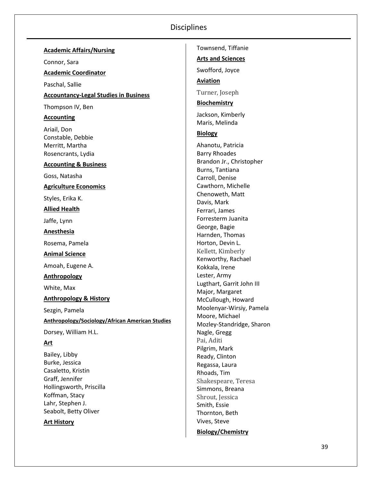| <b>Academic Affairs/Nursing</b>                 | Townsend, Tiffanie                          |
|-------------------------------------------------|---------------------------------------------|
| Connor, Sara                                    | <b>Arts and Sciences</b>                    |
| <b>Academic Coordinator</b>                     | Swofford, Joyce                             |
|                                                 | <b>Aviation</b>                             |
| Paschal, Sallie                                 |                                             |
| <b>Accountancy-Legal Studies in Business</b>    | Turner, Joseph                              |
| Thompson IV, Ben                                | <b>Biochemistry</b>                         |
| <b>Accounting</b>                               | Jackson, Kimberly<br>Maris, Melinda         |
| Ariail, Don                                     |                                             |
| Constable, Debbie                               | <b>Biology</b>                              |
| Merritt, Martha                                 | Ahanotu, Patricia                           |
| Rosencrants, Lydia                              | <b>Barry Rhoades</b>                        |
| <b>Accounting &amp; Business</b>                | Brandon Jr., Christopher<br>Burns, Tantiana |
| Goss, Natasha                                   | Carroll, Denise                             |
| <b>Agriculture Economics</b>                    | Cawthorn, Michelle                          |
|                                                 | Chenoweth, Matt                             |
| Styles, Erika K.                                | Davis, Mark                                 |
| <b>Allied Health</b>                            | Ferrari, James                              |
| Jaffe, Lynn                                     | Forresterm Juanita                          |
| Anesthesia                                      | George, Bagie                               |
|                                                 | Harnden, Thomas<br>Horton, Devin L.         |
| Rosema, Pamela                                  | Kellett, Kimberly                           |
| <b>Animal Science</b>                           | Kenworthy, Rachael                          |
| Amoah, Eugene A.                                | Kokkala, Irene                              |
| <b>Anthropology</b>                             | Lester, Army                                |
| White, Max                                      | Lugthart, Garrit John III                   |
|                                                 | Major, Margaret                             |
| <b>Anthropology &amp; History</b>               | McCullough, Howard                          |
| Sezgin, Pamela                                  | Moolenyar-Wirsiy, Pamela<br>Moore, Michael  |
| Anthropology/Sociology/African American Studies | Mozley-Standridge, Sharon                   |
| Dorsey, William H.L.                            | Nagle, Gregg                                |
| <u>Art</u>                                      | Pai, Aditi                                  |
| Bailey, Libby                                   | Pilgrim, Mark                               |
| Burke, Jessica                                  | Ready, Clinton                              |
| Casaletto, Kristin                              | Regassa, Laura<br>Rhoads, Tim               |
| Graff, Jennifer                                 | Shakespeare, Teresa                         |
| Hollingsworth, Priscilla                        | Simmons, Breana                             |
| Koffman, Stacy                                  | Shrout, Jessica                             |
| Lahr, Stephen J.                                | Smith, Essie                                |

Seabolt, Betty Oliver

**Art History**

**Biology/Chemistry**

Thornton, Beth Vives, Steve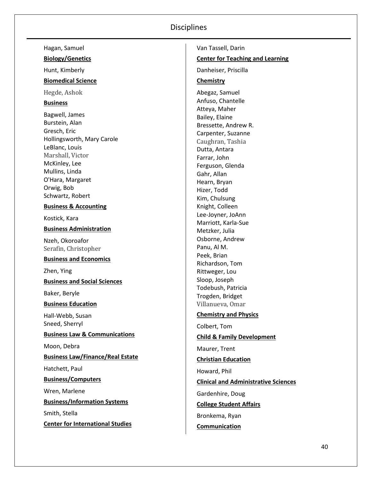| Hagan, Samuel                            | Van Tassell, Darin                          |
|------------------------------------------|---------------------------------------------|
| <b>Biology/Genetics</b>                  | <b>Center for Teaching and Learning</b>     |
| Hunt, Kimberly                           | Danheiser, Priscilla                        |
| <b>Biomedical Science</b>                | Chemistry                                   |
| Hegde, Ashok                             | Abegaz, Samuel                              |
| <b>Business</b>                          | Anfuso, Chantelle                           |
| Bagwell, James                           | Atteya, Maher                               |
| Burstein, Alan                           | Bailey, Elaine<br>Bressette, Andrew R.      |
| Gresch, Eric                             | Carpenter, Suzanne                          |
| Hollingsworth, Mary Carole               | Caughran, Tashia                            |
| LeBlanc, Louis                           | Dutta, Antara                               |
| Marshall, Victor                         | Farrar, John                                |
| McKinley, Lee                            | Ferguson, Glenda                            |
| Mullins, Linda                           | Gahr, Allan                                 |
| O'Hara, Margaret                         | Hearn, Bryan                                |
| Orwig, Bob<br>Schwartz, Robert           | Hizer, Todd                                 |
|                                          | Kim, Chulsung                               |
| <b>Business &amp; Accounting</b>         | Knight, Colleen                             |
| Kostick, Kara                            | Lee-Joyner, JoAnn<br>Marriott, Karla-Sue    |
| <b>Business Administration</b>           | Metzker, Julia                              |
| Nzeh, Okoroafor                          | Osborne, Andrew                             |
| Serafin, Christopher                     | Panu, Al M.                                 |
| <b>Business and Economics</b>            | Peek, Brian                                 |
|                                          | Richardson, Tom                             |
| Zhen, Ying                               | Rittweger, Lou                              |
| <b>Business and Social Sciences</b>      | Sloop, Joseph                               |
| Baker, Beryle                            | Todebush, Patricia<br>Trogden, Bridget      |
| <b>Business Education</b>                | Villanueva, Omar                            |
| Hall-Webb, Susan                         | <b>Chemistry and Physics</b>                |
| Sneed, Sherryl                           | Colbert, Tom                                |
| <b>Business Law &amp; Communications</b> | <b>Child &amp; Family Development</b>       |
| Moon, Debra                              | Maurer, Trent                               |
| <b>Business Law/Finance/Real Estate</b>  | <b>Christian Education</b>                  |
| Hatchett, Paul                           | Howard, Phil                                |
| <b>Business/Computers</b>                | <b>Clinical and Administrative Sciences</b> |
| Wren, Marlene                            | Gardenhire, Doug                            |
| <b>Business/Information Systems</b>      | <b>College Student Affairs</b>              |
| Smith, Stella                            | Bronkema, Ryan                              |
| <b>Center for International Studies</b>  | Communication                               |
|                                          |                                             |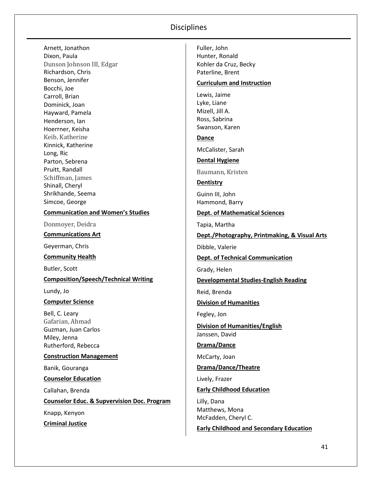Arnett, Jonathon Dixon, Paula Dunson Johnson III, Edgar Richardson, Chris Benson, Jennifer Bocchi, Joe Carroll, Brian Dominick, Joan Hayward, Pamela Henderson, Ian Hoerrner, Keisha Keib, Katherine Kinnick, Katherine Long, Ric Parton, Sebrena Pruitt, Randall Schiffman, James Shinall, Cheryl Shrikhande, Seema Simcoe, George

#### **Communication and Women's Studies**

Donmoyer, Deidra

**Communications Art**

Geyerman, Chris

**Community Health**

Butler, Scott

**Composition/Speech/Technical Writing**

Lundy, Jo

#### **Computer Science**

Bell, C. Leary Gafarian, Ahmad Guzman, Juan Carlos Miley, Jenna Rutherford, Rebecca

#### **Construction Management**

Banik, Gouranga

**Counselor Education**

Callahan, Brenda

**Counselor Educ. & Supvervision Doc. Program**

Knapp, Kenyon **Criminal Justice** Fuller, John Hunter, Ronald Kohler da Cruz, Becky Paterline, Brent

#### **Curriculum and Instruction**

Lewis, Jaime Lyke, Liane Mizell, Jill A. Ross, Sabrina Swanson, Karen

**Dance**

McCalister, Sarah

**Dental Hygiene**

Baumann, Kristen

**Dentistry**

Guinn III, John Hammond, Barry

#### **Dept. of Mathematical Sciences**

Tapia, Martha

**Dept./Photography, Printmaking, & Visual Arts**

Dibble, Valerie

**Dept. of Technical Communication**

Grady, Helen

**Developmental Studies-English Reading**

Reid, Brenda

**Division of Humanities**

Fegley, Jon

**Division of Humanities/English** Janssen, David

**Drama/Dance**

McCarty, Joan

**Drama/Dance/Theatre**

Lively, Frazer

**Early Childhood Education**

Lilly, Dana Matthews, Mona McFadden, Cheryl C.

**Early Childhood and Secondary Education**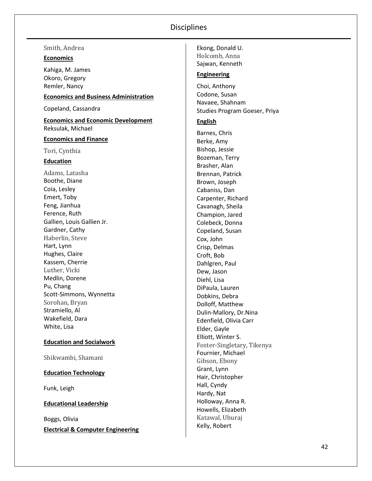Smith, Andrea

#### **Economics**

Kahiga, M. James Okoro, Gregory Remler, Nancy

### **Economics and Business Administration**

Copeland, Cassandra

**Economics and Economic Development**  Reksulak, Michael

#### **Economics and Finance**

Tori, Cynthia

#### **Education**

Adams, Latasha Boothe, Diane Coia, Lesley Emert, Toby Feng, Jianhua Ference, Ruth Gallien, Louis Gallien Jr. Gardner, Cathy Haberlin, Steve Hart, Lynn Hughes, Claire Kassem, Cherrie Luther, Vicki Medlin, Dorene Pu, Chang Scott -Simmons, Wynnetta Sorohan, Bryan Stramiello, Al Wakefield, Dara White, Lisa

#### **Education and Socialwork**

Shikwambi, Shamani

#### **Education Technology**

Funk, Leigh

#### **Educational Leadership**

Boggs, Olivia **Electrical & Computer Engineering** Holcomb, Anna Sajwan, Kenneth **Engineering** Choi, Anthony

Ekong, Donald U.

Codone, Susan Navaee, Shahnam Studies Program Goeser, Priya

#### **English**

Barnes, Chris Berke, Amy Bishop, Jessie Bozeman, Terry Brasher, Alan Brennan, Patrick Brown, Joseph Cabaniss, Dan Carpenter, Richard Cavanagh, Sheila Champion, Jared Colebeck, Donna Copeland, Susan Cox, John Crisp, Delmas Croft, Bob Dahlgren, Paul Dew, Jason Diehl, Lisa DiPaula, Lauren Dobkins, Debra Dolloff, Mat thew Dulin -Mallory, Dr.Nina Edenfield, Olivia Carr Elder, Gayle Elliott, Winter S. Foster -Singletary, Tikenya Fournier, Michael Gibson, Ebony Grant, Lynn Hair, Christopher Hall, Cyndy Hardy, Nat Holloway, Anna R. Howells, Elizabeth Katawal, Uburaj Kelly, Robert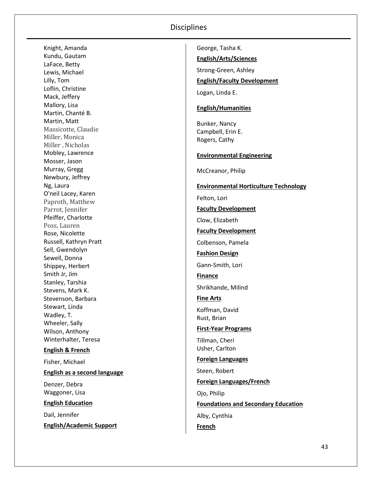Knight, Amanda Kundu, Gautam LaFace, Betty Lewis, Michael Lilly, Tom Loflin, Christine Mack, Jeffery Mallory, Lisa Martin, Chanté B. Martin, Matt Massicotte, Claudie Miller, Monica Miller , Nicholas Mobley, Lawrence Mosser, Jason Murray, Gregg Newbury, Jeffrey Ng, Laura O'neil Lacey, Karen Paproth, Matthew Parrot, Jennifer Pfeiffer, Charlotte Poss, Lauren Rose, Nicolette Russell, Kathryn Pratt Sell, Gwendolyn Sewell, Donna Shippey, Herbert Smith Jr, Jim Stanley, Tarshia Stevens, Mark K. Stevenson, Barbara Stewart, Linda Wadley, T. Wheeler, Sally Wilson, Anthony Winterhalter, Teresa **English & French** Fisher, Michael **English as a second language** Denzer, Debra Waggoner, Lisa **English Education** Dail, Jennifer **English/Academic Support**

George, Tasha K. **English/Arts/Sciences** Strong-Green, Ashley **English/Faculty Development** Logan, Linda E. **English/Humanities** Bunker, Nancy Campbell, Erin E. Rogers, Cathy **Environmental Engineering** McCreanor, Philip **Environmental Horticulture Technology** Felton, Lori **Faculty Development** Clow, Elizabeth **Faculty Development**  Colbenson, Pamela **Fashion Design** Gann-Smith, Lori **Finance** Shrikhande, Milind **Fine Arts** Koffman, David Rust, Brian **First-Year Programs** Tillman, Cheri Usher, Carlton **Foreign Languages** Steen, Robert **Foreign Languages/French** Ojo, Philip **Foundations and Secondary Education** Alby, Cynthia **French**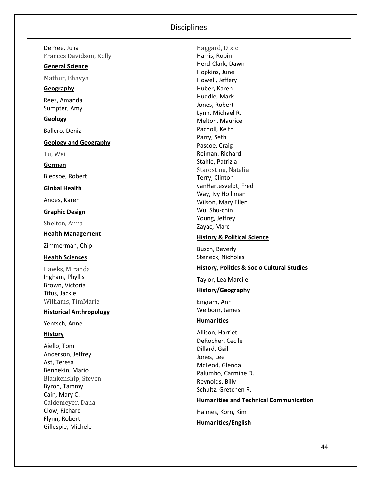DePree, Julia Frances Davidson, Kelly

#### **General Science**

Mathur, Bhavya

#### **Geography**

Rees, Amanda Sumpter, Amy

**Geology**

Ballero, Deniz

**Geology and Geography**

Tu, Wei

**German**

Bledsoe, Robert

**Global Health**

Andes, Karen

#### **Graphic Design**

Shelton, Anna

# **Health Managemen t**

Zimmerman, Chip

#### **Health Sciences**

Hawks, Miranda Ingham, Phyllis Brown, Victoria Titus, Jackie Williams, TimMarie

#### **Historical Anthropology**

Yentsch, Anne

#### **History**

Aiello, Tom Anderson, Jeffrey Ast, Teresa Bennekin, Mario Blankenship, Steve n Byron, Tammy Cain, Mary C. Caldemeyer, Dana Clow, Richard Flynn, Robert Gillespie, Michele

Haggard, Dixie Harris, Robin Herd -Clark, Dawn Hopkins, June Howell, Jeffery Huber, Karen Huddle, Mark Jones, Robert Lynn, Michael R. Melton, Maurice Pacholl, Keith Parry, Seth Pascoe, Craig Reiman, Richard Stahle, Patrizia Starostina, Natalia Terry, Clinton vanHartesveldt, Fred Way, Ivy Holliman Wilson, Mary Ellen Wu, Shu -chin Young, Jeffrey Zayac, Marc

#### **History & Political Science**

Busch, Beverly Steneck, Nicholas

#### **History, Politics & Socio Cultural Studies**

Taylor, Lea Marcile

#### **History/Geography**

Engram, Ann Welborn, James

#### **Humani t ies**

Allison, Harriet DeRocher, Cecile Dillard, Gail Jones, Lee McLeod, Glenda Palumbo, Carmine D. Reynolds, Billy Schultz, Gretchen R.

#### **Humanities and Technical Communication**

Haimes, Korn, Kim **Humanities/English**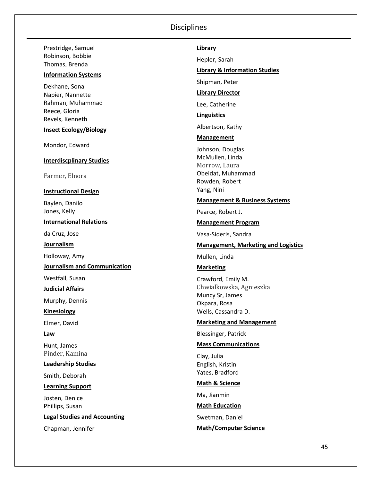Prestridge, Samuel Robinson, Bobbie Thomas, Brenda

#### **Information Systems**

Dekhane, Sonal Napier, Nannette Rahman, Muhammad Reece, Gloria Revels, Kenneth

**Insect Ecology/Biology**

Mondor, Edward

#### **Interdiscplinary Studies**

Farmer, Elnora

#### **Instructional Design**

Baylen, Danilo Jones, Kelly

**International Relations**

da Cruz, Jose

**Journalism**

Holloway, Amy

**Journalism and Communication**

Westfall, Susan

**Judicial Affairs**

Murphy, Dennis

**Kinesiology**

Elmer, David

#### **Law**

Hunt, James Pinder, Kamina

**Leadership Studies**

Smith, Deborah

**Learning Support**

Josten, Denice Phillips, Susan

**Legal Studies and Accounting**

Chapman, Jennifer

#### **Library**

Hepler, Sarah

#### **Library & Information Studies**

Shipman, Peter

**Library Director**

Lee, Catherine

**Linguistics**

Albertson, Kathy

**Management**

Johnson, Douglas McMullen, Linda Morrow, Laura Obeidat, Muhammad Rowden, Robert Yang, Nini

#### **Management & Business Systems**

Pearce, Robert J.

#### **Management Program**

Vasa-Sideris, Sandra

#### **Management, Marketing and Logistics**

Mullen, Linda

**Marketing**

Crawford, Emily M. Chwialkowska, Agnieszka Muncy Sr, James Okpara, Rosa Wells, Cassandra D.

#### **Marketing and Management**

Blessinger, Patrick

#### **Mass Communications**

Clay, Julia English, Kristin Yates, Bradford

#### **Math & Science**

Ma, Jianmin

**Math Education**

Swetman, Daniel

#### **Math/Computer Science**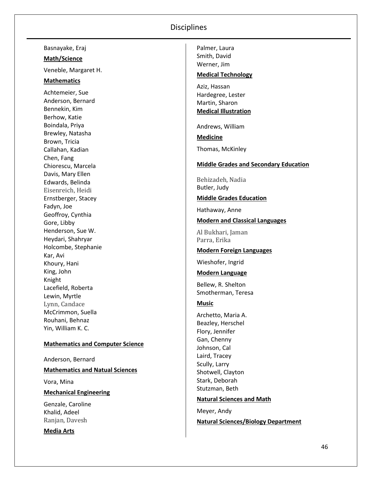Basnayake, Eraj

#### **Math/Science**

Veneble, Margaret H.

#### **Mathematics**

Achtemeier, Sue Anderson, Bernard Bennekin, Kim Berhow, Katie Boindala, Priya Brewley, Natasha Brown, Tricia Callahan, Kadian Chen, Fang Chiorescu, Marcela Davis, Mary Ellen Edwards, Belinda Eisenreich, Heidi Ernstberger, Stacey Fadyn, Joe Geoffroy, Cynthia Gore, Libby Henderson, Sue W. Heydari, Shahryar Holcombe, Stephanie Kar, Avi Khoury, Hani King, John Knight Lacefield, Roberta Lewin, Myrtle Lynn, Candace McCrimmon, Suella Rouhani, Behnaz Yin, William K. C.

#### **Mathematics and Computer Science**

Anderson, Bernard **Mathematics and Natual Sciences** Vora, Mina

**Mechanical Engineering**

Genzale, Caroline Khalid, Adeel Ranjan, Davesh

**Media Arts**

Palmer, Laura Smith, David Werner, Jim

#### **Medical Technology**

Aziz, Hassan Hardegree, Lester Martin, Sharon **Medical Illustration**

Andrews, William

**Medicine**

Thomas, McKinley

#### **Middle Grades and Secondary Education**

Behizadeh, Nadia Butler, Judy

#### **Middle Grades Education**

Hathaway, Anne

**Modern and Classical Languages**

Al Bukhari, Jaman Parra, Erika

#### **Modern Foreign Languages**

Wieshofer, Ingrid

#### **Modern Language**

Bellew, R. Shelton Smotherman, Teresa

#### **Music**

Archetto, Maria A. Beazley, Herschel Flory, Jennifer Gan, Chenny Johnson, Cal Laird, Tracey Scully, Larry Shotwell, Clayton Stark, Deborah Stutzman, Beth

#### **Natural Sciences and Math**

Meyer, Andy **Natural Sciences/Biology Department**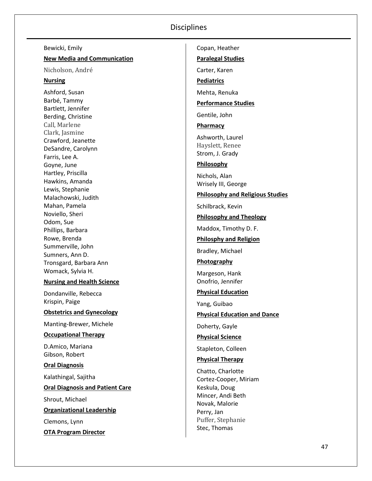Bewicki, Emily **New Media and Communication** Nicholson, André **Nursing** Ashford, Susan Barbé, Tammy Bartlett, Jennifer Berding, Christine Call, Marlene Clark, Jasmine Crawford, Jeanette DeSandre, Carolynn Farris, Lee A. Goyne, June Hartley, Priscilla Hawkins, Amanda Lewis, Stephanie Malachowski, Judith Mahan, Pamela Noviello, Sheri Odom, Sue Phillips, Barbara Rowe, Brenda Summerville, John Sumners, Ann D. Tronsgard, Barbara Ann Womack, Sylvia H. **Nursing and Health Science** Dondanville, Rebecca Krispin, Paige **Obstetrics and Gynecology** Manting -Brewer, Michele **Occupational Therapy** D.Amico, Mariana Gibson, Robert **Oral Diagnosis** Kalathingal, Sajitha **Oral Diagnosis and Patient Care** Shrout, Michael **Organizational Leadership** Clemons, Lynn **OTA Program Director**

Copan, Heather **Paralegal Studies** Carter, Karen **Pediatrics** Mehta, Renuka **Performance Studies** Gentile, John **Pharmacy** Ashworth, Laurel Hayslett, Renee Strom, J. Grady **Philosophy** Nichols, Alan Wrisely III, George **Philosophy and Religious Studies** Schilbrack, Kevin **Philosophy and Theology** Maddox, Timothy D. F. **Philosphy and Religion** Bradley, Michael **Photography** Margeson, Hank Onofrio, Jennifer **Physical Education** Yang, Guibao **Physical Education and Dance** Doherty, Gayle **Physical Science** Stapleton, Colleen **Physical Therapy** Chatto, Charlotte Cortez -Cooper, Miriam Keskula, Doug Mincer, Andi Beth Novak, Malorie Perry, Jan Puffer, Stephanie Stec, Thomas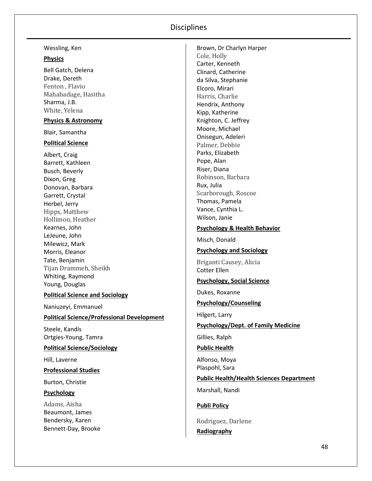#### Wessling, Ken

#### **Physics**

Bell Gatch, Delena Drake, Dereth Fenton , Flavio Mahabaduge, Hasitha Sharma, J.B. White, Yelena

# **Physics & Astronomy**

Blair, Samantha

#### **Political Science**

Albert, Craig Barrett, Kathleen Busch, Beverly Dixon, Greg Donovan, Barbara Garrett, Crystal Herbel, Jerry Hipps, Matthew Hollimon, Heather Kearnes, John LeJeune, John Milewicz, Mark Morris, Eleanor Tate, Benjamin Tijan Drammeh, Sheikh Whiting, Raymond Young, Douglas

#### **Political Science and Sociology**

Naniuzeyi, Emmanuel

#### **Political Science/Professional Development**

Steele, Kandis Ortgies-Young, Tamra

#### **Political Science/Sociology**

Hill, Laverne

#### **Professional Studies**

Burton, Christie

#### **Psychology**

Adams, Aisha Beaumont, James Bendersky, Karen Bennett-Day, Brooke

Brown, Dr Charlyn Harper Cole, Holly Carter, Kenneth Clinard, Catherine da Silva, Stephanie Elcoro, Mirari Harris, Charlie Hendrix, Anthony Kipp, Katherine Knighton, C. Jeffrey Moore, Michael Onisegun, Adeleri Palmer, Debbie Parks, Elizabeth Pope, Alan Riser, Diana Robinson, Barbara Rux, Julia Scarborough, Roscoe Thomas, Pamela Vance, Cynthia L. Wilson, Janie

#### **Psychology & Health Behavior**

Misch, Donald

### **Psychology and Sociology**

Briganti Causey, Alicia Cotter Ellen

#### **Psychology, Social Science**

Dukes, Roxanne

#### **Psychology/Counseling**

Hilgert, Larry

#### **Psychology/Dept. of Family Medicine**

Gillies, Ralph

#### **Public Health**

Alfonso, Moya Plaspohl, Sara

#### **Public Health/Health Sciences Department**

Marshall, Nandi

#### **Publi Policy**

Rodriguez, Darlene **Radiography**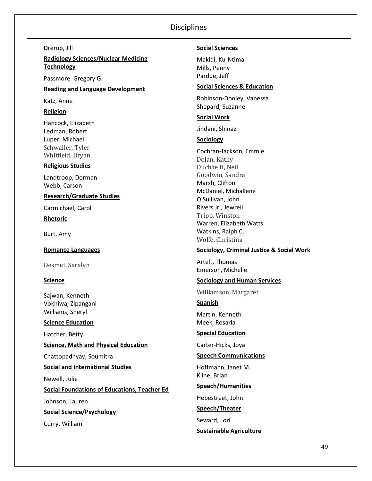Drerup, Jill

**Radiology Sciences/Nuclear Medicing Technology**

Passmore. Gregory G.

**Reading and Language Development**

Katz, Anne

**Religion**

Hancock, Elizabeth Ledman, Robert Luper, Michael Schwaller, Tyler Whitfield, Bryan

#### **Religious Studies**

Landtroop, Dorman Webb, Carson

#### **Research/Graduate Studies**

Carmichael, Carol

**Rhetoric**

Burt, Amy

**Romance Languages**

Desmet, Saralyn

#### **Science**

Sajwan, Kenneth Vokhiwa, Zipangani Williams, Sheryl

**Science Education**

Hatcher, Betty **Science, Math and Physical Education** Chattopadhyay, Soumitra **Social and International Studies** Newell, Julie **Social Foundations of Educations, Teacher Ed**

Johnson, Lauren

**Social Science/Psychology**

Curry, William

#### **Social Sciences**

Makidi, Ku-Ntima Mills, Penny Pardue, Jeff

#### **Social Sciences & Education**

Robinson-Dooley, Vanessa Shepard, Suzanne

**Social Work**

Jindani, Shinaz

**Sociology**

Cochran-Jackson, Emmie Dolan, Kathy Duchae II, Neil Goodwin, Sandra Marsh, Clifton McDaniel, Michallene O'Sullivan, John Rivers Jr., Jewrell Tripp, Winston Warren, Elizabeth Watts Watkins, Ralph C. Wolfe, Christina

#### **Sociology, Criminal Justice & Social Work**

Artelt, Thomas Emerson, Michelle

#### **Sociology and Human Services**

Williamson, Margaret

**Spanish**

Martin, Kenneth Meek, Rosaria

#### **Special Education**

Carter-Hicks, Joya

#### **Speech Communications**

Hoffmann, Janet M. Kline, Brian

#### **Speech/Humanities**

Hebestreet, John

**Speech/Theater**

Seward, Lori

#### **Sustainable Agriculture**